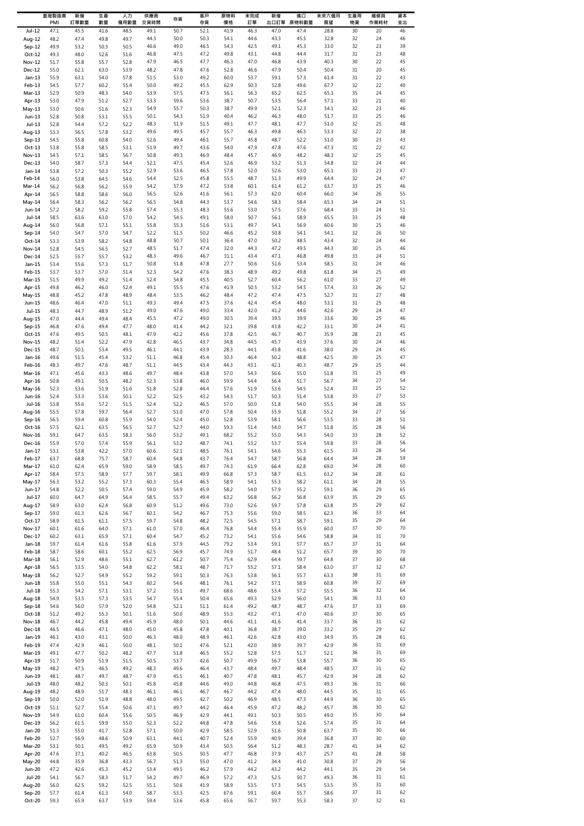|                                | 臺灣製造業<br>PMI | 新增<br>訂單數量   | 生產<br>數量     | 人力<br>僱用數量   | 供應商<br>交貨時間  | 存貨           | 客戶<br>存貨     | 原物料<br>價格    | 未完成<br>訂單    | 新增<br>出口訂單   | 進口<br>原物料數量  | 未來六個月<br>展望  | 生產用<br>物資 | 維修與<br>作業耗材 | 資本<br>支出 |
|--------------------------------|--------------|--------------|--------------|--------------|--------------|--------------|--------------|--------------|--------------|--------------|--------------|--------------|-----------|-------------|----------|
| Jul-12                         | 47.1         | 45.5         | 41.6         | 48.5         | 49.1         | 50.7         | 52.1         | 41.9         | 46.3         | 47.0         | 47.4         | 28.8         | 30        | 20          | 46       |
| Aug-12                         | 48.2         | 47.4         | 49.8         | 49.7         | 44.3<br>46.6 | 50.0<br>49.0 | 50.3<br>46.5 | 54.1<br>54.3 | 44.6<br>42.5 | 43.3<br>49.1 | 45.5<br>45.3 | 32.8<br>33.0 | 32<br>32  | 24<br>23    | 46<br>39 |
| Sep-12<br>$Oct-12$             | 49.9<br>49.3 | 53.2<br>48.0 | 50.3<br>52.6 | 50.5<br>51.6 | 46.8         | 47.5         | 47.2         | 49.8         | 43.1         | 44.8         | 44.4         | 31.7         | 31        | 23          | 48       |
| <b>Nov-12</b>                  | 51.7         | 55.8         | 55.7         | 52.8         | 47.9         | 46.5         | 47.7         | 46.3         | 47.0         | 46.8         | 43.9         | 40.3         | 30        | 22          | 45       |
| Dec-12                         | 55.0         | 62.1         | 63.0         | 53.9         | 48.2         | 47.8         | 47.6         | 52.8         | 46.6         | 47.9         | 50.4         | 50.4         | 31        | 20          | 45       |
| $Jan-13$<br>Feb-13             | 55.9<br>54.5 | 63.1<br>57.7 | 54.0<br>60.2 | 57.8<br>55.4 | 51.5<br>50.0 | 53.0<br>49.2 | 49.2<br>45.5 | 60.0<br>62.9 | 53.7<br>50.3 | 59.1<br>52.8 | 57.3<br>49.6 | 61.4<br>67.7 | 31<br>32  | 22<br>22    | 43<br>40 |
| Mar-13                         | 52.9         | 50.9         | 48.3         | 54.0         | 53.9         | 57.5         | 47.5         | 56.1         | 56.3         | 65.2         | 62.5         | 65.3         | 35        | 24          | 45       |
| Apr-13                         | 53.0         | 47.9         | 51.2         | 52.7         | 53.3         | 59.6         | 53.6         | 38.7         | 50.7         | 53.5<br>52.1 | 56.4         | 57.1         | 33        | 21          | 40       |
| May-13<br>$Jun-13$             | 53.0<br>52.8 | 50.6<br>50.8 | 51.6<br>53.1 | 52.3<br>55.5 | 54.9<br>50.1 | 55.7<br>54.3 | 50.3<br>51.9 | 38.7<br>40.4 | 49.9<br>46.2 | 46.3         | 52.3<br>48.0 | 54.1<br>51.7 | 32<br>33  | 23<br>25    | 46<br>46 |
| $Jul-13$                       | 52.8         | 54.4         | 57.2         | 52.2         | 48.3         | 51.9         | 51.5         | 49.1         | 47.7         | 48.1         | 47.7         | 51.0         | 32        | 25          | 48       |
| Aug-13                         | 53.3         | 56.5         | 57.8         | 53.2         | 49.6         | 49.5<br>49.4 | 45.7         | 55.7         | 46.3         | 49.8         | 46.5         | 53.3         | 32<br>30  | 22          | 38       |
| $Sep-13$<br>$Oct-13$           | 54.5<br>53.8 | 55.8<br>55.8 | 60.8<br>58.5 | 54.0<br>53.1 | 52.6<br>51.9 | 49.7         | 46.1<br>43.6 | 55.7<br>54.0 | 45.8<br>47.9 | 48.7<br>47.8 | 52.2<br>47.6 | 51.0<br>47.3 | 31        | 23<br>22    | 43<br>42 |
| $Nov-13$                       | 54.5         | 57.1         | 58.5         | 56.7         | 50.8         | 49.3         | 46.9         | 48.4         | 45.7         | 46.9         | 48.2         | 48.3         | 32        | 25          | 45       |
| Dec-13<br>$Jan-14$             | 54.0         | 58.7<br>57.2 | 57.3<br>50.3 | 54.4<br>55.2 | 52.1<br>52.9 | 47.5<br>53.6 | 45.4<br>46.5 | 52.6<br>57.8 | 46.9<br>52.0 | 53.2<br>52.6 | 51.3<br>53.0 | 54.8<br>65.1 | 32<br>33  | 24<br>23    | 44<br>47 |
| Feb-14                         | 53.8<br>56.0 | 53.8         | 64.5         | 54.6         | 54.4         | 52.5         | 45.8         | 55.5         | 48.7         | 51.3         | 49.9         | 64.4         | 32        | 24          | 47       |
| $Mar-14$                       | 56.2         | 56.8         | 56.2         | 55.9         | 54.2         | 57.9         | 47.2         | 53.8         | 60.1         | 61.4         | 61.2         | 63.7         | 33        | 25          | 46       |
| Apr-14<br>May-14               | 56.5<br>56.4 | 58.8<br>58.3 | 58.6<br>56.2 | 56.0<br>56.2 | 56.5<br>56.5 | 52.6<br>54.8 | 41.6<br>44.3 | 56.1<br>53.7 | 57.3<br>54.6 | 62.0<br>58.3 | 60.4<br>58.4 | 66.0<br>65.3 | 34<br>34  | 26<br>24    | 55<br>51 |
| Jun-14                         | 57.2         | 58.2         | 59.2         | 55.8         | 57.4         | 55.3         | 48.3         | 55.6         | 53.0         | 57.5         | 57.6         | 68.4         | 33        | 24          | 51       |
| $Jul-14$                       | 58.5         | 63.6         | 63.0         | 57.0         | 54.2         | 54.5         | 49.1         | 58.0         | 50.7         | 56.1         | 58.9         | 65.5         | 33        | 25          | 48       |
| Aug-14<br>Sep-14               | 56.0<br>54.0 | 56.8<br>54.7 | 57.1<br>57.0 | 55.1<br>54.7 | 55.8<br>52.2 | 55.3<br>51.5 | 51.6<br>50.2 | 53.1<br>46.6 | 49.7<br>45.2 | 54.1<br>50.8 | 56.9<br>54.1 | 60.6<br>54.1 | 30<br>32  | 25<br>26    | 46<br>50 |
| $Oct-14$                       | 53.3         | 53.9         | 58.2         | 54.8         | 48.8         | 50.7         | 50.1         | 36.4         | 47.0         | 50.2         | 48.5         | 43.4         | 32        | 24          | 44       |
| Nov-14                         | 52.8         | 54.5         | 56.5         | 52.7         | 48.5         | 51.7         | 47.4         | 32.0         | 44.3         | 47.2         | 49.5         | 44.3         | 30        | 25          | 46       |
| Dec-14<br>Jan-15               | 52.5<br>53.4 | 55.7<br>55.6 | 55.7<br>57.3 | 53.2<br>51.7 | 48.3<br>50.8 | 49.6<br>51.8 | 46.7<br>47.8 | 31.1<br>27.7 | 43.4<br>50.6 | 47.1<br>51.6 | 46.8<br>53.4 | 49.8<br>58.5 | 33<br>31  | 24<br>24    | 51<br>46 |
| Feb-15                         | 53.7         | 53.7         | 57.0         | 51.4         | 52.3         | 54.2         | 47.6         | 38.3         | 48.9         | 49.2         | 49.8         | 61.8         | 34        | 25          | 49       |
| Mar-15                         | 51.5         | 49.9         | 49.2         | 51.4         | 52.4         | 54.8         | 45.5         | 40.5         | 52.7         | 60.4         | 56.2         | 61.0         | 33        | 27          | 49       |
| Apr-15<br>May-15               | 49.8<br>48.8 | 46.2<br>45.2 | 46.0<br>47.8 | 52.4<br>48.9 | 49.1<br>48.4 | 55.5<br>53.5 | 47.6<br>46.2 | 41.9<br>48.4 | 50.5<br>47.2 | 53.2<br>47.4 | 54.5<br>47.5 | 57.4<br>52.7 | 33<br>31  | 26<br>27    | 52<br>48 |
| Jun-15                         | 48.6         | 46.4         | 47.0         | 51.1         | 49.3         | 49.4         | 47.5         | 37.6         | 42.4         | 45.4         | 48.0         | 53.1         | 31        | 25          | 48       |
| <b>Jul-15</b>                  | 48.3         | 44.7         | 48.9         | 51.2         | 49.0         | 47.6         | 49.0         | 33.4         | 42.0         | 41.2         | 44.6         | 42.6         | 29        | 24          | 47       |
| Aug-15<br>Sep-15               | 47.0<br>46.8 | 44.4<br>47.6 | 49.4<br>49.4 | 48.4<br>47.7 | 45.5<br>48.0 | 47.2<br>41.4 | 49.0<br>44.2 | 30.5<br>32.1 | 39.4<br>39.8 | 39.5<br>43.8 | 39.9<br>42.2 | 33.6<br>33.1 | 30<br>30  | 25<br>24    | 46<br>41 |
| Oct-15                         | 47.6         | 49.5         | 50.5         | 48.1         | 47.9         | 42.2         | 45.6         | 37.8         | 42.5         | 46.7         | 40.7         | 35.9         | 28        | 23          | 45       |
| <b>Nov-15</b>                  | 48.2         | 51.4         | 52.2         | 47.9         | 42.8         | 46.5         | 43.7         | 34.8         | 44.5         | 45.7         | 43.9         | 37.6         | 30        | 24          | 46       |
| Dec-15<br>Jan-16               | 48.7<br>49.6 | 50.1<br>51.5 | 53.4<br>45.4 | 49.5<br>53.2 | 46.1<br>51.1 | 44.1<br>46.8 | 43.9<br>45.4 | 28.3<br>30.3 | 44.1<br>46.4 | 43.8<br>50.2 | 41.6<br>48.8 | 38.0<br>42.5 | 29<br>30  | 24<br>25    | 45<br>47 |
| Feb-16                         | 48.3         | 49.7         | 47.6         | 48.7         | 51.1         | 44.5         | 43.4         | 44.3         | 43.1         | 42.1         | 40.3         | 48.7         | 29        | 25          | 44       |
| Mar-16                         | 47.1         | 45.6         | 43.3         | 48.6         | 49.7         | 48.4         | 43.8         | 57.0         | 54.3         | 56.6         | 55.0         | 51.8         | 31        | 25          | 49       |
| Apr-16<br>$May-16$             | 50.8<br>52.3 | 49.1<br>53.6 | 50.5<br>51.9 | 48.2<br>51.6 | 52.3<br>51.8 | 53.8<br>52.8 | 46.0<br>44.4 | 59.9<br>57.6 | 54.4<br>51.9 | 56.4<br>53.6 | 51.7<br>54.5 | 56.7<br>52.4 | 34<br>33  | 27<br>25    | 54<br>52 |
| Jun-16                         | 52.4         | 53.3         | 53.6         | 50.1         | 52.2         | 52.5         | 43.2         | 54.3         | 51.7         | 50.3         | 51.4         | 53.8         | 33        | 27          | 53       |
| Jul-16                         | 53.8         | 55.6         | 57.2         | 51.5         | 52.4         | 52.2         | 46.5         | 57.0         | 50.0         | 51.8         | 54.0         | 55.5         | 34        | 28          | 55       |
| Aug-16<br>Sep-16               | 55.5<br>56.5 | 57.8<br>59.4 | 59.7<br>60.8 | 56.4<br>55.9 | 52.7<br>54.0 | 51.0<br>52.4 | 47.0<br>45.0 | 57.8<br>52.8 | 50.4<br>53.9 | 55.9<br>58.1 | 51.8<br>56.6 | 55.2<br>53.5 | 34<br>33  | 27<br>28    | 56<br>51 |
| Oct-16                         | 57.5         | 62.1         | 63.5         | 56.5         | 52.7         | 52.7         | 44.0         | 59.3         | 51.4         | 54.0         | 54.7         | 51.8         | 35        | 28          | 56       |
| Nov-16                         | 59.1         | 64.7         | 63.5         | 58.3         | 56.0         | 53.2         | 49.1         | 68.2         | 55.2         | 55.0         | 54.3         | 54.0         | 33        | 28          | 52       |
| Dec-16<br>$Jan-17$             | 55.9<br>53.1 | 57.0<br>53.8 | 57.4<br>42.2 | 55.9<br>57.0 | 56.1<br>60.6 | 53.2<br>52.1 | 48.7<br>48.5 | 74.1<br>76.1 | 53.2<br>54.1 | 53.7<br>54.6 | 55.4<br>55.3 | 59.8<br>61.5 | 33<br>33  | 28<br>28    | 56<br>54 |
| Feb-17                         | 63.7         | 68.8         | 75.7         | 58.7         | 60.4         | 54.8         | 43.7         | 76.4         | 54.7         | 58.7         | 56.8         | 64.4         | 34        | 28          | 59       |
| $Mar-17$<br>Apr-17             | 61.0         | 62.4         | 65.9<br>58.9 | 59.0         | 58.9         | 58.5<br>58.1 | 49.7<br>49.9 | 74.3         | 61.9<br>57.3 | 66.4         | 62.8         | 69.0<br>63.2 | 34<br>34  | 28<br>28    | 60<br>61 |
| May-17                         | 58.4<br>56.3 | 57.5<br>53.2 | 55.2         | 57.7<br>57.3 | 59.7<br>60.3 | 55.4         | 46.5         | 66.8<br>58.9 | 54.1         | 58.7<br>55.3 | 61.5<br>58.2 | 61.1         | 34        | 28          | 55       |
| Jun-17                         | 54.8         | 52.2         | 50.5         | 57.4         | 59.0         | 54.9         | 45.9         | 58.2         | 54.0         | 57.9         | 55.2         | 59.1         | 36        | 29          | 65       |
| Jul-17<br>Aug-17               | 60.0<br>58.9 | 64.7<br>63.0 | 64.9<br>62.4 | 56.4<br>56.8 | 58.5<br>60.9 | 55.7<br>51.2 | 49.4<br>49.6 | 63.2<br>73.0 | 56.8<br>52.6 | 56.2<br>59.7 | 56.8<br>57.8 | 63.9<br>63.8 | 35<br>35  | 29<br>29    | 65<br>62 |
| $Sep-17$                       | 59.0         | 61.3         | 62.6         | 56.7         | 60.1         | 54.2         | 46.7         | 75.3         | 55.6         | 59.0         | 58.5         | 62.3         | 36        | 33          | 64       |
| Oct-17                         | 58.9         | 61.5         | 61.1         | 57.5         | 59.7         | 54.8         | 48.2         | 72.5         | 54.5         | 57.1         | 58.7         | 59.1         | 35        | 29          | 64       |
| Nov-17<br>Dec-17               | 60.1<br>60.2 | 61.6<br>63.1 | 64.0<br>65.9 | 57.1<br>57.1 | 61.0<br>60.4 | 57.0<br>54.7 | 46.4<br>45.2 | 76.8<br>73.2 | 54.4<br>54.1 | 55.4<br>55.6 | 55.9<br>54.6 | 60.0<br>58.8 | 37<br>34  | 30<br>31    | 70<br>70 |
| Jan-18                         | 59.7         | 61.4         | 61.6         | 55.8         | 61.6         | 57.9         | 44.5         | 79.2         | 53.4         | 59.1         | 57.7         | 65.7         | 37        | 31          | 64       |
| Feb-18                         | 58.7         | 58.6         | 60.1         | 55.2         | 62.5         | 56.9         | 45.7         | 74.9         | 51.7         | 48.4         | 51.2         | 65.7         | 39        | 30          | 70       |
| Mar-18<br>Apr-18               | 56.1<br>56.5 | 52.9<br>53.5 | 48.6<br>54.0 | 55.1<br>54.8 | 62.7<br>62.2 | 61.2<br>58.1 | 50.7<br>48.7 | 75.4<br>71.7 | 62.9<br>55.2 | 64.4<br>57.1 | 59.7<br>58.4 | 64.8<br>63.0 | 37<br>37  | 30<br>32    | 68<br>67 |
| May-18                         | 56.2         | 52.7         | 54.9         | 55.2         | 59.2         | 59.1         | 50.3         | 76.3         | 53.8         | 56.1         | 55.7         | 63.3         | 38        | 31          | 69       |
| Jun-18                         | 55.8         | 55.0         | 55.1         | 54.3         | 60.2         | 54.6         | 48.1         | 76.1         | 54.2         | 57.1         | 58.9         | 60.8         | 39        | 32          | 69       |
| Jul-18<br>Aug-18               | 55.3<br>54.9 | 54.2<br>53.5 | 57.1<br>57.3 | 53.1<br>53.5 | 57.2<br>54.7 | 55.1<br>55.4 | 49.7<br>50.4 | 68.6<br>65.6 | 48.6<br>49.3 | 53.4<br>52.9 | 57.2<br>56.0 | 55.5<br>54.1 | 36<br>36  | 32<br>33    | 64<br>63 |
| $Sep-18$                       | 54.6         | 56.0         | 57.9         | 52.0         | 54.8         | 52.1         | 51.1         | 61.4         | 49.2         | 48.7         | 48.7         | 47.6         | 37        | 33          | 69       |
| Oct-18<br>Nov-18               | 51.2<br>46.7 | 49.2<br>44.2 | 55.3<br>45.8 | 50.1<br>49.4 | 51.6<br>45.9 | 50.0<br>48.0 | 48.9<br>50.1 | 55.3<br>44.6 | 43.2<br>41.1 | 47.1<br>41.6 | 47.0<br>41.4 | 40.6<br>33.7 | 37<br>36  | 30<br>31    | 65<br>62 |
| Dec-18                         | 46.5         | 46.6         | 47.1         | 48.0         | 45.0         | 45.8         | 47.8         | 40.1         | 36.8         | 38.7         | 39.0         | 33.2         | 35        | 29          | 62       |
| Jan-19                         | 46.1         | 43.0         | 43.1         | 50.0         | 46.3         | 48.0         | 48.9         | 46.1         | 42.6         | 42.8         | 43.0         | 34.9         | 35        | 28          | 61       |
| Feb-19<br>Mar-19               | 47.4<br>49.1 | 42.9<br>47.7 | 46.1<br>50.2 | 50.0<br>48.2 | 48.1<br>47.7 | 50.1<br>51.8 | 47.6<br>46.5 | 52.1<br>55.2 | 42.0<br>52.8 | 38.9<br>57.5 | 39.7<br>51.7 | 42.9<br>52.1 | 36<br>36  | 31<br>31    | 69<br>69 |
| Apr-19                         | 51.7         | 50.9         | 51.9         | 51.5         | 50.5         | 53.7         | 42.6         | 50.7         | 49.9         | 56.7         | 53.8         | 55.7         | 36        | 30          | 65       |
| May-19                         | 48.2         | 47.5         | 46.5         | 49.2         | 48.3         | 49.6         | 46.4         | 43.7         | 48.4         | 49.7         | 48.4         | 48.5         | 37        | 31          | 62       |
| Jun-19<br>$Jul-19$             | 48.1<br>48.0 | 48.7<br>48.2 | 49.7<br>50.3 | 48.7<br>50.1 | 47.9<br>45.8 | 45.5<br>45.8 | 46.1<br>44.6 | 40.7<br>49.0 | 47.8<br>44.8 | 48.1<br>46.8 | 45.7<br>47.5 | 42.9<br>49.3 | 34<br>36  | 28<br>31    | 62<br>66 |
| Aug-19                         | 48.2         | 48.9         | 51.7         | 48.3         | 46.1         | 46.1         | 46.7         | 46.7         | 44.2         | 47.4         | 48.0         | 44.5         | 35        | 31          | 65       |
| Sep-19                         | 50.0         | 52.0         | 51.9         | 48.8         | 48.0         | 49.5         | 42.7         | 50.2         | 46.9         | 48.5         | 47.3         | 44.9         | 36        | 30          | 65       |
| $Oct-19$<br><b>Nov-19</b>      | 51.1<br>54.9 | 52.7<br>61.0 | 55.4<br>60.4 | 50.6<br>55.6 | 47.1<br>50.5 | 49.7<br>46.9 | 44.2<br>42.9 | 46.4<br>44.1 | 45.9<br>49.1 | 47.2<br>50.3 | 48.2<br>50.5 | 45.7<br>49.0 | 36<br>35  | 30<br>30    | 62<br>64 |
| Dec-19                         | 56.2         | 61.5         | 59.9         | 55.0         | 52.3         | 52.2         | 44.8         | 47.8         | 54.6         | 55.8         | 52.6         | 57.4         | 35        | 31          | 64       |
| Jan-20                         | 51.3         | 55.0         | 41.7         | 52.8         | 57.1         | 50.0         | 42.9         | 58.5         | 52.9         | 51.6         | 50.8         | 63.7         | 35        | 30          | 66       |
| Feb-20<br>Mar-20               | 52.7<br>53.1 | 56.9<br>50.1 | 48.6<br>49.5 | 50.9<br>49.2 | 63.1<br>65.9 | 44.1<br>50.9 | 40.7<br>43.4 | 52.4<br>50.5 | 55.9<br>56.4 | 40.9<br>51.2 | 39.4<br>48.3 | 36.8<br>28.7 | 37<br>41  | 30<br>34    | 60<br>62 |
| Apr-20                         | 47.6         | 37.1         | 40.2         | 46.5         | 63.8         | 50.5         | 50.5         | 47.7         | 46.8         | 37.9         | 43.7         | 25.7         | 41        | 28          | 58       |
| May-20                         | 44.8         | 35.9         | 36.8         | 43.3         | 56.7         | 51.3         | 55.0         | 47.0         | 41.2         | 34.4         | 41.0         | 30.8         | 37        | 29          | 56       |
| <b>Jun-20</b><br><b>Jul-20</b> | 47.2<br>54.1 | 42.6<br>56.7 | 45.3<br>58.3 | 45.2<br>51.7 | 53.4<br>54.2 | 49.5<br>49.7 | 46.2<br>46.9 | 57.9<br>57.2 | 44.2<br>47.3 | 43.2<br>52.5 | 44.2<br>50.7 | 44.1<br>49.3 | 35<br>36  | 29<br>31    | 54<br>61 |
| Aug-20                         | 56.0         | 62.5         | 59.2         | 52.5         | 55.1         | 50.6         | 41.9         | 58.9         | 53.5         | 57.3         | 54.5         | 53.5         | 35        | 31          | 60       |
| Sep-20<br>Oct-20               | 57.7<br>59.3 | 61.4<br>65.9 | 61.3<br>63.7 | 54.0<br>53.9 | 58.7<br>59.4 | 53.3<br>53.6 | 42.5<br>45.8 | 67.6<br>65.6 | 59.1<br>56.7 | 60.4<br>59.7 | 55.7<br>55.3 | 58.6<br>58.3 | 37<br>37  | 31<br>32    | 62<br>61 |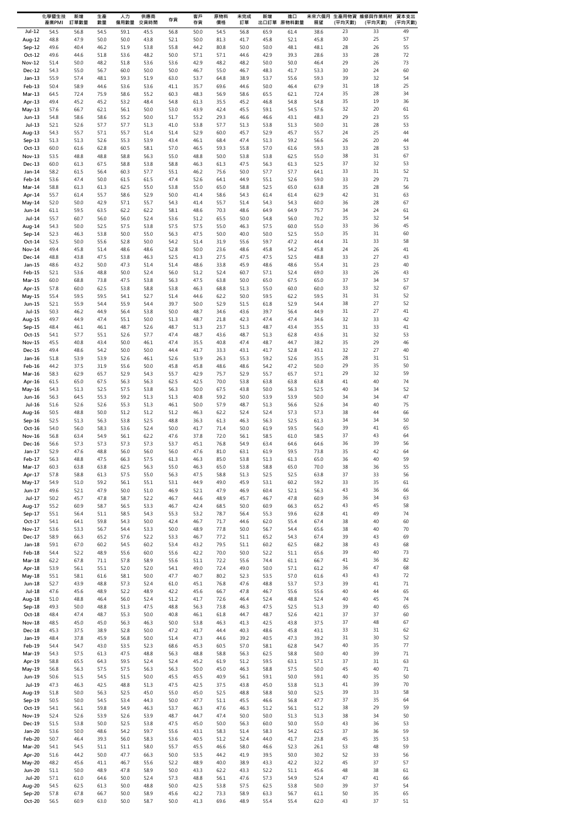|                           | 化學暨生技<br>產業PMI | 新增<br>訂單數量   | 生產<br>數量     | 人力<br>僱用數量   | 供應商<br>交貨時間  | 存貨           | 客戶<br>存貨     | 原物料<br>價格    | 未完成<br>訂單    | 新增           | 進口<br>出口訂單 原物料數量 | 展望           | (平均天數)   | 未來六個月 生產用物資 維修與作業耗材<br>(平均天數) | 資本支出<br>(平均天數) |
|---------------------------|----------------|--------------|--------------|--------------|--------------|--------------|--------------|--------------|--------------|--------------|------------------|--------------|----------|-------------------------------|----------------|
| Jul-12                    | 54.5           | 56.8         | 54.5         | 59.1         | 45.5         | 56.8         | 50.0         | 54.5         | 56.8         | 65.9         | 61.4             | 38.6         | 23       | 33                            | 49             |
| Aug-12                    | 48.8           | 47.9         | 50.0         | 50.0         | 43.8         | 52.1         | 50.0         | 81.3         | 41.7         | 45.8         | 52.1             | 45.8         | 30       | 25                            | 57             |
| Sep-12                    | 49.6           | 40.4         | 46.2         | 51.9         | 53.8         | 55.8         | 44.2         | 80.8         | 50.0         | 50.0         | 48.1             | 48.1         | 28       | 26                            | 55             |
| $Oct-12$<br><b>Nov-12</b> | 49.6<br>51.4   | 44.6<br>50.0 | 51.8<br>48.2 | 53.6<br>51.8 | 48.2<br>53.6 | 50.0<br>53.6 | 57.1<br>42.9 | 57.1<br>48.2 | 44.6<br>48.2 | 42.9<br>50.0 | 39.3<br>50.0     | 28.6<br>46.4 | 33<br>29 | 28<br>26                      | 72<br>73       |
| Dec-12                    | 54.3           | 55.0         | 56.7         | 60.0         | 50.0         | 50.0         | 46.7         | 55.0         | 46.7         | 48.3         | 41.7             | 53.3         | 30       | 24                            | 60             |
| $Jan-13$                  | 55.9           | 57.4         | 48.1         | 59.3         | 51.9         | 63.0         | 53.7         | 64.8         | 38.9         | 53.7         | 55.6             | 59.3         | 39       | 32                            | 54             |
| Feb-13                    | 50.4           | 58.9         | 44.6         | 53.6         | 53.6         | 41.1         | 35.7         | 69.6         | 44.6         | 50.0         | 46.4             | 67.9         | 31       | 18                            | 25             |
| Mar-13                    | 64.5           | 72.4         | 75.9         | 58.6         | 55.2         | 60.3         | 48.3         | 56.9         | 58.6         | 65.5         | 62.1             | 72.4         | 35       | 28                            | 34             |
| Apr-13<br>May-13          | 49.4<br>57.6   | 45.2<br>66.7 | 45.2<br>62.1 | 53.2<br>56.1 | 48.4<br>50.0 | 54.8<br>53.0 | 61.3<br>43.9 | 35.5<br>42.4 | 45.2<br>45.5 | 46.8<br>59.1 | 54.8<br>54.5     | 54.8<br>57.6 | 35<br>32 | 19<br>20                      | 36<br>61       |
| $Jun-13$                  | 54.8           | 58.6         | 58.6         | 55.2         | 50.0         | 51.7         | 55.2         | 29.3         | 46.6         | 46.6         | 43.1             | 48.3         | 29       | 23                            | 55             |
| Jul-13                    | 52.1           | 52.6         | 57.7         | 57.7         | 51.3         | 41.0         | 53.8         | 57.7         | 51.3         | 53.8         | 51.3             | 50.0         | 31       | 28                            | 53             |
| Aug-13                    | 54.3           | 55.7         | 57.1         | 55.7         | 51.4         | 51.4         | 52.9         | 60.0         | 45.7         | 52.9         | 45.7             | 55.7         | 24       | 25                            | 44             |
| $Sep-13$<br>$Oct-13$      | 51.3<br>60.0   | 51.3<br>61.6 | 52.6<br>62.8 | 55.3<br>60.5 | 53.9<br>58.1 | 43.4<br>57.0 | 46.1<br>46.5 | 68.4<br>59.3 | 47.4<br>55.8 | 51.3<br>57.0 | 59.2<br>61.6     | 56.6<br>59.3 | 26<br>33 | 20<br>28                      | 44<br>53       |
| Nov-13                    | 53.5           | 48.8         | 48.8         | 58.8         | 56.3         | 55.0         | 48.8         | 50.0         | 53.8         | 53.8         | 62.5             | 55.0         | 38       | 31                            | 67             |
| Dec-13                    | 60.0           | 61.3         | 67.5         | 58.8         | 53.8         | 58.8         | 46.3         | 61.3         | 47.5         | 56.3         | 61.3             | 52.5         | 37       | 32                            | 53             |
| Jan-14                    | 58.2           | 61.5         | 56.4         | 60.3         | 57.7         | 55.1         | 46.2         | 75.6         | 50.0         | 57.7         | 57.7             | 64.1         | 33       | 31                            | 52             |
| Feb-14                    | 53.6           | 47.4         | 50.0         | 61.5         | 61.5         | 47.4         | 52.6         | 64.1         | 44.9         | 55.1         | 52.6             | 59.0         | 33       | 29                            | $71\,$         |
| Mar-14<br>Apr-14          | 58.8<br>55.7   | 61.3<br>61.4 | 61.3<br>55.7 | 62.5<br>58.6 | 55.0<br>52.9 | 53.8<br>50.0 | 55.0<br>41.4 | 65.0<br>58.6 | 58.8<br>54.3 | 52.5<br>61.4 | 65.0<br>61.4     | 63.8<br>62.9 | 35<br>42 | 28<br>31                      | 56<br>63       |
| May-14                    | 52.0           | 50.0         | 42.9         | 57.1         | 55.7         | 54.3         | 41.4         | 55.7         | 51.4         | 54.3         | 54.3             | 60.0         | 36       | 28                            | 67             |
| Jun-14                    | 61.1           | 59.5         | 63.5         | 62.2         | 62.2         | 58.1         | 48.6         | 70.3         | 48.6         | 64.9         | 64.9             | 75.7         | 34       | 24                            | 61             |
| Jul-14                    | 55.7           | 60.7         | 56.0         | 56.0         | 52.4         | 53.6         | 51.2         | 65.5         | 50.0         | 54.8         | 56.0             | 70.2         | 35       | 32                            | 54             |
| Aug-14                    | 54.3           | 50.0         | 52.5         | 57.5         | 53.8         | 57.5         | 57.5         | 55.0         | 46.3         | 57.5         | 60.0             | 55.0         | 33<br>35 | 36                            | 45<br>60       |
| Sep-14<br>Oct-14          | 52.3<br>52.5   | 46.3<br>50.0 | 53.8<br>55.6 | 50.0<br>52.8 | 55.0<br>50.0 | 56.3<br>54.2 | 47.5<br>51.4 | 50.0<br>31.9 | 40.0<br>55.6 | 50.0<br>59.7 | 52.5<br>47.2     | 55.0<br>44.4 | 31       | 31<br>33                      | 58             |
| Nov-14                    | 49.4           | 45.8         | 51.4         | 48.6         | 48.6         | 52.8         | 50.0         | 23.6         | 48.6         | 45.8         | 54.2             | 45.8         | 24       | 26                            | 41             |
| Dec-14                    | 48.8           | 43.8         | 47.5         | 53.8         | 46.3         | 52.5         | 41.3         | 27.5         | 47.5         | 47.5         | 52.5             | 48.8         | 33       | 27                            | 43             |
| $Jan-15$                  | 48.6           | 43.2         | 50.0         | 47.3         | 51.4         | 51.4         | 48.6         | 33.8         | 45.9         | 48.6         | 48.6             | 55.4         | 31       | 23                            | 40             |
| Feb-15<br>Mar-15          | 52.1<br>60.0   | 53.6<br>68.8 | 48.8<br>73.8 | 50.0<br>47.5 | 52.4<br>53.8 | 56.0<br>56.3 | 51.2<br>47.5 | 52.4<br>63.8 | 60.7<br>50.0 | 57.1<br>65.0 | 52.4<br>67.5     | 69.0<br>65.0 | 33<br>37 | 26<br>34                      | 43<br>57       |
| Apr-15                    | 57.8           | 60.0         | 62.5         | 53.8         | 58.8         | 53.8         | 46.3         | 68.8         | 51.3         | 55.0         | 60.0             | 60.0         | 33       | 32                            | 67             |
| May-15                    | 55.4           | 59.5         | 59.5         | 54.1         | 52.7         | 51.4         | 44.6         | 62.2         | 50.0         | 59.5         | 62.2             | 59.5         | 31       | 31                            | 52             |
| Jun-15                    | 52.1           | 55.9         | 54.4         | 55.9         | 54.4         | 39.7         | 50.0         | 52.9         | 51.5         | 61.8         | 52.9             | 54.4         | 38       | 27                            | 52             |
| $Jul-15$                  | 50.3           | 46.2         | 44.9         | 56.4         | 53.8         | 50.0         | 48.7         | 34.6         | 43.6         | 39.7         | 56.4             | 44.9         | 31       | 27                            | 41             |
| Aug-15<br>Sep-15          | 49.7<br>48.4   | 44.9<br>46.1 | 47.4<br>46.1 | 55.1<br>48.7 | 50.0<br>52.6 | 51.3<br>48.7 | 48.7<br>51.3 | 21.8<br>23.7 | 42.3<br>51.3 | 47.4<br>48.7 | 47.4<br>43.4     | 34.6<br>35.5 | 32<br>31 | 33<br>33                      | 42<br>41       |
| Oct-15                    | 54.1           | 57.7         | 55.1         | 52.6         | 57.7         | 47.4         | 48.7         | 43.6         | 48.7         | 51.3         | 62.8             | 43.6         | 31       | 32                            | 53             |
| <b>Nov-15</b>             | 45.5           | 40.8         | 43.4         | 50.0         | 46.1         | 47.4         | 35.5         | 40.8         | 47.4         | 48.7         | 44.7             | 38.2         | 35       | 29                            | 46             |
| Dec-15                    | 49.4           | 48.6         | 54.2         | 50.0         | 50.0         | 44.4         | 41.7         | 33.3         | 43.1         | 41.7         | 52.8             | 43.1         | 32       | 27                            | 40             |
| $Jan-16$<br>Feb-16        | 51.8<br>44.2   | 53.9<br>37.5 | 53.9<br>31.9 | 52.6<br>55.6 | 46.1<br>50.0 | 52.6<br>45.8 | 53.9<br>45.8 | 26.3<br>48.6 | 55.3<br>48.6 | 59.2<br>54.2 | 52.6<br>47.2     | 35.5<br>50.0 | 28<br>29 | 31<br>35                      | 51<br>50       |
| Mar-16                    | 58.3           | 62.9         | 65.7         | 52.9         | 54.3         | 55.7         | 42.9         | 75.7         | 52.9         | 55.7         | 65.7             | 57.1         | 29       | 32                            | 59             |
| Apr-16                    | 61.5           | 65.0         | 67.5         | 56.3         | 56.3         | 62.5         | 42.5         | 70.0         | 53.8         | 63.8         | 63.8             | 63.8         | 41       | 40                            | 74             |
| May-16                    | 54.3           | 51.3         | 52.5         | 57.5         | 53.8         | 56.3         | 50.0         | 67.5         | 43.8         | 50.0         | 56.3             | 52.5         | 40       | 34                            | 52             |
| Jun-16                    | 56.3           | 64.5         | 55.3         | 59.2         | 51.3         | 51.3         | 40.8         | 59.2         | 50.0         | 53.9         | 53.9             | 50.0         | 34       | 34                            | 47             |
| Jul-16                    | 51.6<br>50.5   | 52.6<br>48.8 | 52.6<br>50.0 | 55.3<br>51.2 | 51.3<br>51.2 | 46.1<br>51.2 | 50.0<br>46.3 | 57.9<br>62.2 | 48.7<br>52.4 | 51.3<br>52.4 | 56.6<br>57.3     | 52.6<br>57.3 | 34<br>38 | 40<br>44                      | 75<br>66       |
| Aug-16<br>Sep-16          | 52.5           | 51.3         | 56.3         | 53.8         | 52.5         | 48.8         | 36.3         | 61.3         | 46.3         | 56.3         | 52.5             | 61.3         | 34       | 34                            | 50             |
| Oct-16                    | 54.0           | 56.0         | 58.3         | 53.6         | 52.4         | 50.0         | 41.7         | 71.4         | 50.0         | 61.9         | 59.5             | 56.0         | 39       | 41                            | 65             |
| <b>Nov-16</b>             | 56.8           | 63.4         | 54.9         | 56.1         | 62.2         | 47.6         | 37.8         | 72.0         | 56.1         | 58.5         | 61.0             | 58.5         | 37       | 43                            | 64             |
| Dec-16                    | 56.6           | 57.3         | 57.3         | 57.3         | 57.3         | 53.7         | 45.1         | 76.8         | 54.9         | 63.4         | 64.6             | 64.6         | 36       | 39                            | 56             |
| $Jan-17$<br>Feb-17        | 52.9<br>56.3   | 47.6<br>48.8 | 48.8<br>47.5 | 56.0<br>66.3 | 56.0<br>57.5 | 56.0<br>61.3 | 47.6<br>46.3 | 81.0<br>85.0 | 63.1<br>53.8 | 61.9<br>51.3 | 59.5<br>61.3     | 73.8<br>65.0 | 35<br>36 | 42<br>40                      | 64<br>59       |
| Mar-17                    | 60.3           | 63.8         | 63.8         | 62.5         | 56.3         | 55.0         | 46.3         | 65.0         | 53.8         | 58.8         | 65.0             | 70.0         | 38       | 36                            | 55             |
| Apr-17                    | 57.8           | 58.8         | 61.3         | 57.5         | 55.0         | 56.3         | 47.5         | 58.8         | 51.3         | 52.5         | 52.5             | 63.8         | 37       | 33                            | 56             |
| May-17                    | 54.9           | 51.0         | 59.2         | 56.1         | 55.1         | 53.1         | 44.9         | 49.0         | 45.9         | 53.1         | 60.2             | 59.2         | 33       | 35                            | 61             |
| Jun-17<br>Jul-17          | 49.6<br>50.2   | 52.1<br>45.7 | 47.9<br>47.8 | 50.0<br>58.7 | 51.0<br>52.2 | 46.9<br>46.7 | 52.1<br>44.6 | 47.9<br>48.9 | 46.9<br>45.7 | 60.4<br>46.7 | 52.1<br>47.8     | 56.3<br>60.9 | 43<br>36 | 36<br>34                      | 66<br>63       |
| Aug-17                    | 55.2           | 60.9         | 58.7         | 56.5         | 53.3         | 46.7         | 42.4         | 68.5         | 50.0         | 60.9         | 66.3             | 65.2         | 43       | 45                            | 58             |
| Sep-17                    | 55.1           | 56.4         | 51.1         | 58.5         | 54.3         | 55.3         | 53.2         | 78.7         | 56.4         | 55.3         | 59.6             | 62.8         | 41       | 49                            | 74             |
| $Oct-17$                  | 54.1           | 64.1         | 59.8         | 54.3         | 50.0         | 42.4         | 46.7         | 71.7         | 44.6         | 62.0         | 55.4             | 67.4         | 38       | 40                            | 60             |
| Nov-17                    | 53.6           | 53.3         | 56.7         | 54.4         | 53.3         | 50.0         | 48.9         | 77.8         | 50.0         | 56.7         | 54.4             | 65.6         | 38       | 40                            | 70             |
| Dec-17<br>$Jan-18$        | 58.9<br>59.1   | 66.3<br>67.0 | 65.2<br>60.2 | 57.6<br>54.5 | 52.2<br>60.2 | 53.3<br>53.4 | 46.7<br>43.2 | 77.2<br>79.5 | 51.1<br>51.1 | 65.2<br>60.2 | 54.3<br>62.5     | 67.4<br>68.2 | 39<br>38 | 43<br>43                      | 69<br>68       |
| Feb-18                    | 54.4           | 52.2         | 48.9         | 55.6         | 60.0         | 55.6         | 42.2         | 70.0         | 50.0         | 52.2         | 51.1             | 65.6         | 39       | 40                            | 73             |
| $Mar-18$                  | 62.2           | 67.8         | 71.1         | 57.8         | 58.9         | 55.6         | 51.1         | 72.2         | 55.6         | 74.4         | 61.1             | 66.7         | 41       | 36                            | 82             |
| Apr-18                    | 53.9           | 56.1         | 55.1         | 52.0         | 52.0         | 54.1         | 49.0         | 72.4         | 49.0         | 50.0         | 57.1             | 61.2         | 36       | 47                            | 68             |
| May-18<br>Jun-18          | 55.1<br>52.7   | 58.1<br>43.9 | 61.6<br>48.8 | 58.1<br>57.3 | 50.0<br>52.4 | 47.7<br>61.0 | 40.7<br>45.1 | 80.2<br>76.8 | 52.3<br>47.6 | 53.5<br>48.8 | 57.0<br>53.7     | 61.6<br>57.3 | 43<br>39 | 43<br>41                      | 72<br>71       |
| <b>Jul-18</b>             | 47.6           | 45.6         | 48.9         | 52.2         | 48.9         | 42.2         | 45.6         | 66.7         | 47.8         | 46.7         | 55.6             | 55.6         | 40       | 44                            | 65             |
| Aug-18                    | 51.0           | 48.8         | 46.4         | 56.0         | 52.4         | 51.2         | 41.7         | 72.6         | 46.4         | 52.4         | 48.8             | 52.4         | 40       | 45                            | 74             |
| Sep-18                    | 49.3           | 50.0         | 48.8         | 51.3         | 47.5         | 48.8         | 56.3         | 73.8         | 46.3         | 47.5         | 52.5             | 51.3         | 39       | 40                            | 65             |
| $Oct-18$<br><b>Nov-18</b> | 48.4<br>48.5   | 47.4<br>45.0 | 48.7<br>45.0 | 55.3<br>56.3 | 50.0<br>46.3 | 40.8<br>50.0 | 46.1<br>53.8 | 61.8<br>46.3 | 44.7<br>41.3 | 48.7<br>42.5 | 52.6<br>43.8     | 42.1<br>37.5 | 37<br>37 | 37<br>48                      | 60<br>67       |
| Dec-18                    | 45.3           | 37.5         | 38.9         | 52.8         | 50.0         | 47.2         | 41.7         | 44.4         | 40.3         | 48.6         | 45.8             | 43.1         | 33       | 31                            | 62             |
| Jan-19                    | 48.4           | 37.8         | 45.9         | 56.8         | 50.0         | 51.4         | 47.3         | 44.6         | 39.2         | 40.5         | 47.3             | 39.2         | 31       | 30                            | 52             |
| Feb-19                    | 54.4           | 54.7         | 43.0         | 53.5         | 52.3         | 68.6         | 45.3         | 60.5         | 57.0         | 58.1         | 62.8             | 54.7         | 40       | 35                            | 77             |
| Mar-19                    | 54.3           | 57.5         | 61.3         | 47.5         | 48.8         | 56.3         | 48.8         | 58.8         | 56.3         | 62.5         | 58.8             | 50.0         | 40<br>37 | 39                            | $71\,$         |
| Apr-19<br>May-19          | 58.8<br>56.8   | 65.5<br>56.3 | 64.3<br>57.5 | 59.5<br>57.5 | 52.4<br>56.3 | 52.4<br>56.3 | 45.2<br>50.0 | 61.9<br>45.0 | 51.2<br>46.3 | 59.5<br>58.8 | 63.1<br>57.5     | 57.1<br>50.0 | 45       | 31<br>40                      | 63<br>71       |
| Jun-19                    | 50.6           | 51.5         | 54.5         | 51.5         | 50.0         | 45.5         | 45.5         | 40.9         | 56.1         | 59.1         | 50.0             | 59.1         | 40       | 35                            | 50             |
| Jul-19                    | 47.3           | 46.3         | 42.5         | 48.8         | 51.3         | 47.5         | 42.5         | 37.5         | 43.8         | 45.0         | 53.8             | 51.3         | 41       | 39                            | 70             |
| Aug-19                    | 51.8           | 50.0         | 56.3         | 52.5         | 45.0         | 55.0         | 45.0         | 52.5         | 48.8         | 58.8         | 50.0             | 52.5         | 39       | 33                            | 58             |
| Sep-19                    | 50.5           | 50.0         | 54.5         | 53.4         | 44.3         | 50.0         | 47.7         | 51.1         | 45.5         | 46.6         | 56.8             | 47.7         | 37       | 35                            | 64             |
| $Oct-19$<br><b>Nov-19</b> | 54.1<br>52.4   | 56.1<br>52.6 | 59.8<br>53.9 | 54.9<br>52.6 | 46.3<br>53.9 | 53.7<br>48.7 | 46.3<br>44.7 | 47.6<br>47.4 | 46.3<br>50.0 | 51.2<br>50.0 | 56.1<br>51.3     | 51.2<br>51.3 | 38<br>38 | 29<br>34                      | 59<br>50       |
| Dec-19                    | 51.5           | 53.8         | 50.0         | 52.5         | 53.8         | 47.5         | 45.0         | 50.0         | 56.3         | 60.0         | 50.0             | 55.0         | 43       | 36                            | 53             |
| Jan-20                    | 53.6           | 50.0         | 48.6         | 54.2         | 59.7         | 55.6         | 43.1         | 58.3         | 51.4         | 58.3         | 54.2             | 62.5         | 37       | 36                            | 59             |
| Feb-20                    | 50.7           | 46.4         | 39.3         | 56.0         | 58.3         | 53.6         | 40.5         | 51.2         | 52.4         | 44.0         | 41.7             | 23.8         | 45       | 35                            | 53             |
| Mar-20<br>Apr-20          | 54.1<br>51.6   | 54.5<br>44.2 | 51.1<br>50.0 | 51.1<br>47.7 | 58.0<br>66.3 | 55.7<br>50.0 | 45.5<br>53.5 | 46.6<br>44.2 | 58.0<br>41.9 | 46.6<br>39.5 | 52.3<br>50.0     | 26.1<br>30.2 | 53<br>52 | 48<br>33                      | 59<br>56       |
| <b>May-20</b>             | 48.2           | 45.6         | 41.1         | 46.7         | 55.6         | 52.2         | 48.9         | 40.0         | 38.9         | 43.3         | 42.2             | 32.2         | 45       | 37                            | 57             |
| <b>Jun-20</b>             | 51.1           | 50.0         | 48.9         | 47.8         | 58.9         | 50.0         | 43.3         | 62.2         | 43.3         | 52.2         | 51.1             | 45.6         | 48       | 38                            | 61             |
| <b>Jul-20</b>             | 57.1           | 61.0         | 64.6         | 50.0         | 52.4         | 57.3         | 48.8         | 56.1         | 47.6         | 57.3         | 54.9             | 52.4         | 47       | 41                            | 66             |
| Aug-20                    | 54.5           | 62.5         | 61.3         | 50.0         | 48.8         | 50.0         | 42.5         | 53.8         | 57.5         | 62.5         | 53.8             | 50.0         | 39       | 37                            | 54             |
| Sep-20<br>Oct-20          | 57.8<br>56.5   | 67.8<br>60.9 | 66.7<br>63.0 | 50.0<br>50.0 | 58.9<br>58.7 | 45.6<br>50.0 | 42.2<br>41.3 | 73.3<br>69.6 | 58.9<br>48.9 | 63.3<br>55.4 | 56.7<br>55.4     | 61.1<br>62.0 | 50<br>43 | 35<br>37                      | 65<br>51       |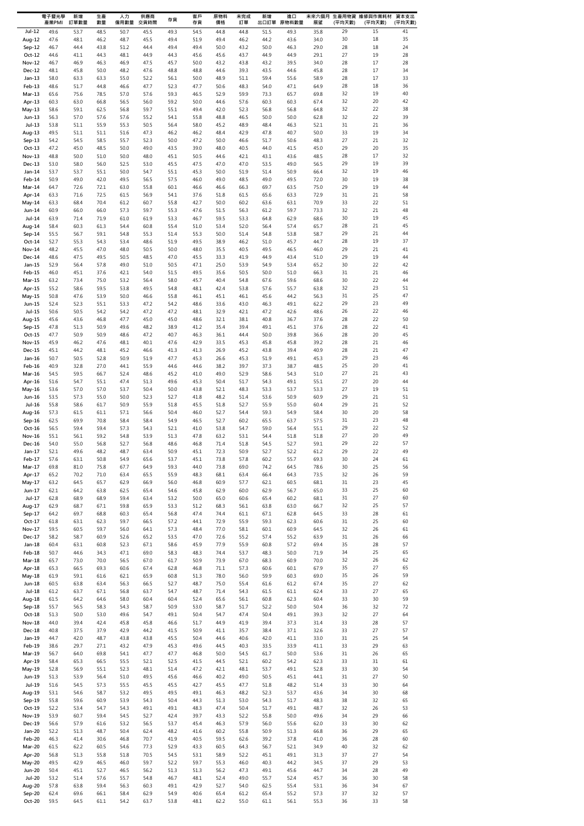|                           | 電子暨光學<br>產業PMI | 新增<br>訂單數量   | 生產<br>數量     | 人力<br>僱用數量   | 供應商<br>交貨時間  | 存貨           | 客戶<br>存貨     | 原物料<br>價格    | 未完成<br>訂單    | 新增           | 進口<br>出口訂單 原物料數量 | 展望           | (平均天數)   | 未來六個月 生產用物資 維修與作業耗材<br>(平均天數) | 資本支出<br>(平均天數) |
|---------------------------|----------------|--------------|--------------|--------------|--------------|--------------|--------------|--------------|--------------|--------------|------------------|--------------|----------|-------------------------------|----------------|
| $Jul-12$                  | 49.6           | 53.7         | 48.5         | 50.7         | 45.5         | 49.3         | 54.5         | 44.8         | 44.8         | 51.5         | 49.3             | 35.8         | 29       | 15                            | 41             |
| Aug-12                    | 47.6           | 48.1         | 46.2         | 48.7         | 45.5         | 49.4         | 51.9         | 49.4         | 46.2         | 44.2         | 43.6             | 34.0         | 30       | 18                            | 35             |
| Sep-12                    | 46.7           | 44.4         | 43.8         | 51.2         | 44.4         | 49.4         | 49.4         | 50.0         | 43.2         | 50.0         | 46.3             | 29.0         | 28       | 18                            | 24             |
| $Oct-12$<br><b>Nov-12</b> | 44.6<br>46.7   | 41.1<br>46.9 | 44.3<br>46.3 | 48.1<br>46.9 | 44.9<br>47.5 | 44.3<br>45.7 | 45.6<br>50.0 | 45.6<br>43.2 | 43.7<br>43.8 | 44.9<br>43.2 | 44.9<br>39.5     | 29.1<br>34.0 | 27<br>28 | 19<br>17                      | 28<br>28       |
| Dec-12                    | 48.1           | 45.8         | 50.0         | 48.2         | 47.6         | 48.8         | 48.8         | 44.6         | 39.3         | 43.5         | 44.6             | 45.8         | 28       | 17                            | 34             |
| $Jan-13$                  | 58.0           | 63.3         | 63.3         | 55.0         | 52.2         | 56.1         | 50.0         | 48.9         | 51.1         | 59.4         | 55.6             | 58.9         | 28       | 17                            | 33             |
| Feb-13                    | 48.6           | 51.7         | 44.8         | 46.6         | 47.7         | 52.3         | 47.7         | 50.6         | 48.3         | 54.0         | 47.1             | 64.9         | 28       | 18                            | 36             |
| Mar-13                    | 65.6           | 75.6         | 78.5         | 57.0         | 57.6         | 59.3         | 46.5         | 52.9         | 59.9         | 73.3         | 65.7             | 69.8         | 32<br>32 | 19<br>20                      | 40<br>42       |
| Apr-13<br>$May-13$        | 60.3<br>58.6   | 63.0<br>59.1 | 66.8<br>62.5 | 56.5<br>56.8 | 56.0<br>59.7 | 59.2<br>55.1 | 50.0<br>49.4 | 44.6<br>42.0 | 57.6<br>52.3 | 60.3<br>56.8 | 60.3<br>56.8     | 67.4<br>64.8 | 32       | 22                            | 38             |
| Jun-13                    | 56.3           | 57.0         | 57.6         | 57.6         | 55.2         | 54.1         | 55.8         | 48.8         | 46.5         | 50.0         | 50.0             | 62.8         | 32       | 22                            | 39             |
| $Jul-13$                  | 53.8           | 51.1         | 55.9         | 55.3         | 50.5         | 56.4         | 58.0         | 45.2         | 48.9         | 48.4         | 46.3             | 52.1         | 31       | 21                            | 36             |
| Aug-13                    | 49.5           | 51.1         | 51.1         | 51.6         | 47.3         | 46.2         | 46.2         | 48.4         | 42.9         | 47.8         | 40.7             | 50.0         | 33       | 19                            | 34             |
| Sep-13                    | 54.2           | 54.5         | 58.5         | 55.7         | 52.3         | 50.0         | 47.2         | 50.0         | 46.6         | 51.7         | 50.6             | 48.3         | 27       | 21                            | 32             |
| $Oct-13$<br>Nov-13        | 47.2<br>48.8   | 45.0<br>50.0 | 48.5<br>51.0 | 50.0<br>50.0 | 49.0<br>48.0 | 43.5<br>45.1 | 39.0<br>50.5 | 48.0<br>44.6 | 40.5<br>42.1 | 44.0<br>43.1 | 41.5<br>43.6     | 45.0<br>48.5 | 29<br>28 | 20<br>17                      | 35<br>32       |
| Dec-13                    | 53.0           | 58.0         | 56.0         | 52.5         | 53.0         | 45.5         | 47.5         | 47.0         | 47.0         | 53.5         | 49.0             | 56.5         | 29       | 19                            | 39             |
| Jan-14                    | 53.7           | 53.7         | 55.1         | 50.0         | 54.7         | 55.1         | 45.3         | 50.0         | 51.9         | 51.4         | 50.9             | 66.4         | 32       | 19                            | 46             |
| Feb-14                    | 50.9           | 49.0         | 42.0         | 49.5         | 56.5         | 57.5         | 46.0         | 49.0         | 48.5         | 49.0         | 49.5             | 72.0         | 30       | 19                            | 38             |
| Mar-14<br>Apr-14          | 64.7<br>63.3   | 72.6<br>71.6 | 72.1<br>72.5 | 63.0<br>61.5 | 55.8<br>56.9 | 60.1<br>54.1 | 46.6<br>37.6 | 46.6<br>51.8 | 66.3<br>61.5 | 69.7<br>65.6 | 63.5<br>63.3     | 75.0<br>72.9 | 29<br>31 | 19<br>21                      | 44<br>58       |
| May-14                    | 63.3           | 68.4         | 70.4         | 61.2         | 60.7         | 55.8         | 42.7         | 50.0         | 60.2         | 63.6         | 63.1             | 70.9         | 33       | 22                            | 51             |
| Jun-14                    | 60.9           | 66.0         | 66.0         | 57.3         | 59.7         | 55.3         | 47.6         | 51.5         | 56.3         | 61.2         | 59.7             | 73.3         | 32       | 21                            | 48             |
| $Jul-14$                  | 63.9           | 71.4         | 71.9         | 61.0         | 61.9         | 53.3         | 46.7         | 59.5         | 53.3         | 64.8         | 62.9             | 68.6         | 30       | 19                            | 45             |
| Aug-14                    | 58.4           | 60.3         | 61.3         | 54.4         | 60.8         | 55.4         | 51.0         | 53.4         | 52.0         | 56.4         | 57.4             | 65.7         | 28       | 21                            | 45             |
| Sep-14                    | 55.5           | 56.7         | 59.1         | 54.8         | 55.3         | 51.4         | 55.3         | 50.0         | 51.4         | 54.8         | 53.8             | 58.7         | 29<br>28 | 21<br>19                      | 44<br>37       |
| Oct-14<br>Nov-14          | 52.7<br>48.2   | 55.3<br>45.5 | 54.3<br>47.0 | 53.4<br>48.0 | 48.6<br>50.5 | 51.9<br>50.0 | 49.5<br>48.0 | 38.9<br>35.5 | 46.2<br>40.5 | 51.0<br>49.5 | 45.7<br>46.5     | 44.7<br>46.0 | 29       | 21                            | 41             |
| Dec-14                    | 48.6           | 47.5         | 49.5         | 50.5         | 48.5         | 47.0         | 45.5         | 33.3         | 41.9         | 44.9         | 43.4             | 51.0         | 29       | 19                            | 44             |
| $Jan-15$                  | 52.9           | 56.4         | 57.8         | 49.0         | 51.0         | 50.5         | 47.1         | 25.0         | 53.9         | 54.9         | 53.4             | 65.2         | 30       | 22                            | 42             |
| Feb-15                    | 46.0           | 45.1         | 37.6         | 42.1         | 54.0         | 51.5         | 49.5         | 35.6         | 50.5         | 50.0         | 51.0             | 66.3         | 31       | 21                            | 46             |
| Mar-15                    | 63.2           | 73.4         | 75.0         | 53.2         | 56.4         | 58.0         | 45.7         | 40.4         | 54.8         | 67.6         | 59.6             | 68.6         | 30       | 22                            | 44             |
| Apr-15<br>May-15          | 55.2<br>50.8   | 58.6<br>47.6 | 59.5<br>53.9 | 53.8<br>50.0 | 49.5<br>46.6 | 54.8<br>55.8 | 48.1<br>46.1 | 42.4<br>45.1 | 53.8<br>46.1 | 57.6<br>45.6 | 55.7<br>44.2     | 63.8<br>56.3 | 32<br>31 | 23<br>25                      | 51<br>47       |
| Jun-15                    | 52.4           | 52.3         | 55.1         | 53.3         | 47.2         | 54.2         | 48.6         | 33.6         | 43.0         | 46.3         | 49.1             | 62.2         | 29       | 23                            | 49             |
| Jul-15                    | 50.6           | 50.5         | 54.2         | 54.2         | 47.2         | 47.2         | 48.1         | 32.9         | 42.1         | 47.2         | 42.6             | 48.6         | 26       | 22                            | 46             |
| Aug-15                    | 45.6           | 43.6         | 46.8         | 47.7         | 45.0         | 45.0         | 48.6         | 32.1         | 38.1         | 40.8         | 36.7             | 37.6         | 28       | 22                            | 50             |
| Sep-15                    | 47.8           | 51.3         | 50.9         | 49.6         | 48.2         | 38.9         | 41.2         | 35.4         | 39.4         | 49.1         | 45.1             | 37.6         | 28       | 22                            | 41             |
| $Oct-15$<br><b>Nov-15</b> | 47.7<br>45.9   | 50.9<br>46.2 | 50.9<br>47.6 | 48.6<br>48.1 | 47.2<br>40.1 | 40.7<br>47.6 | 46.3<br>42.9 | 36.1<br>33.5 | 44.4<br>45.3 | 50.0<br>45.8 | 39.8<br>45.8     | 36.6<br>39.2 | 28<br>28 | 20<br>21                      | 45<br>46       |
| Dec-15                    | 45.1           | 44.2         | 48.1         | 45.2         | 46.6         | 41.3         | 41.3         | 26.9         | 45.2         | 43.8         | 39.4             | 40.9         | 28       | 21                            | 47             |
| Jan-16                    | 50.7           | 50.5         | 52.8         | 50.9         | 51.9         | 47.7         | 45.3         | 26.6         | 45.3         | 51.9         | 49.1             | 45.3         | 29       | 23                            | 46             |
| Feb-16                    | 40.9           | 32.8         | 27.0         | 44.1         | 55.9         | 44.6         | 44.6         | 38.2         | 39.7         | 37.3         | 38.7             | 48.5         | 25       | 20                            | 41             |
| Mar-16                    | 54.5           | 59.5         | 66.7         | 52.4         | 48.6         | 45.2         | 41.0         | 49.0         | 52.9         | 58.6         | 54.3             | 51.0         | 27       | 21                            | 43             |
| Apr-16<br>May-16          | 51.6<br>53.6   | 54.7<br>57.0 | 55.1<br>57.0 | 47.4<br>53.7 | 51.3<br>50.4 | 49.6<br>50.0 | 45.3<br>43.8 | 50.4<br>52.1 | 51.7<br>48.3 | 54.3<br>53.3 | 49.1<br>53.7     | 55.1<br>53.3 | 27<br>27 | 20<br>19                      | 44<br>51       |
| Jun-16                    | 53.5           | 57.3         | 55.0         | 50.0         | 52.3         | 52.7         | 41.8         | 48.2         | 51.4         | 53.6         | 50.9             | 60.9         | 29       | 21                            | 51             |
| Jul-16                    | 55.8           | 58.6         | 61.7         | 50.9         | 55.9         | 51.8         | 45.5         | 51.8         | 52.7         | 55.9         | 55.0             | 60.4         | 29       | 21                            | 52             |
| Aug-16                    | 57.3           | 61.5         | 61.1         | 57.1         | 56.6         | 50.4         | 46.0         | 52.7         | 54.4         | 59.3         | 54.9             | 58.4         | 30       | 20                            | 58             |
| Sep-16                    | 62.5           | 69.9         | 70.8         | 58.4         | 58.4         | 54.9         | 46.5         | 52.7         | 60.2         | 65.5         | 63.7             | 57.5         | 31       | 23                            | 48             |
| $Oct-16$<br>Nov-16        | 56.5<br>55.1   | 59.4<br>56.1 | 59.4<br>59.2 | 57.3<br>54.8 | 54.3<br>53.9 | 52.1<br>51.3 | 41.0<br>47.8 | 53.8<br>63.2 | 54.7<br>53.1 | 59.0<br>54.4 | 56.4<br>51.8     | 55.1<br>51.8 | 29<br>27 | 22<br>20                      | 52<br>49       |
| Dec-16                    | 54.0           | 55.0         | 56.8         | 52.7         | 56.8         | 48.6         | 46.8         | 71.4         | 51.8         | 54.5         | 52.7             | 59.1         | 29       | 22                            | 57             |
| $Jan-17$                  | 52.1           | 49.6         | 48.2         | 48.7         | 63.4         | 50.9         | 45.1         | 72.3         | 50.9         | 52.7         | 52.2             | 61.2         | 29       | 22                            | 49             |
| Feb-17                    | 57.6           | 63.1         | 50.8         | 54.9         | 65.6         | 53.7         | 45.1         | 73.8         | 57.8         | 60.2         | 55.7             | 69.3         | 30       | 24                            | 61             |
| $Mar-17$                  | 69.8           | 81.0         | 75.8         | 67.7         | 64.9         | 59.3         | 44.0         | 73.8         | 69.0         | 74.2         | 64.5             | 78.6         | 30       | 25                            | 56             |
| Apr-17<br>May-17          | 65.2<br>63.2   | 70.2<br>64.5 | 71.0<br>65.7 | 63.4<br>62.9 | 65.5<br>66.9 | 55.9<br>56.0 | 48.3<br>46.8 | 68.1<br>60.9 | 63.4<br>57.7 | 66.4<br>62.1 | 64.3<br>60.5     | 73.5<br>68.1 | 32<br>31 | 26<br>23                      | 59<br>45       |
| Jun-17                    | 62.1           | 64.2         | 63.8         | 62.5         | 65.4         | 54.6         | 45.8         | 62.9         | 60.0         | 62.9         | 56.7             | 65.0         | 33       | 25                            | 60             |
| Jul-17                    | 62.8           | 68.9         | 68.9         | 59.4         | 63.4         | 53.2         | 50.0         | 65.0         | 60.6         | 65.4         | 60.2             | 68.1         | 31       | 27                            | 60             |
| Aug-17                    | 62.9           | 68.7         | 67.1         | 59.8         | 65.9         | 53.3         | 51.2         | 68.3         | 56.1         | 63.8         | 63.0             | 66.7         | 32       | 25                            | 57             |
| Sep-17                    | 64.2           | 69.7         | 68.8         | 60.3         | 65.4         | 56.8         | 47.4         | 74.4         | 61.1         | 67.1         | 62.8             | 64.5         | 33       | 28                            | 61             |
| $Oct-17$<br>Nov-17        | 61.8<br>59.5   | 63.1<br>60.5 | 62.3<br>59.7 | 59.7<br>56.0 | 66.5<br>64.1 | 57.2<br>57.3 | 44.1<br>48.4 | 72.9<br>77.0 | 55.9<br>58.1 | 59.3<br>60.1 | 62.3<br>60.9     | 60.6<br>64.5 | 31<br>32 | 25<br>26                      | 60<br>61       |
| Dec-17                    | 58.2           | 58.7         | 60.9         | 52.6         | 65.2         | 53.5         | 47.0         | 72.6         | 55.2         | 57.4         | 55.2             | 63.9         | 31       | 26                            | 66             |
| $Jan-18$                  | 60.4           | 63.1         | 60.8         | 52.3         | 67.1         | 58.6         | 45.9         | 77.9         | 55.9         | 60.8         | 57.2             | 69.4         | 35       | 28                            | 57             |
| Feb-18                    | 50.7           | 44.6         | 34.3         | 47.1         | 69.0         | 58.3         | 48.3         | 74.4         | 53.7         | 48.3         | 50.0             | 71.9         | 34       | 25                            | 65             |
| Mar-18                    | 65.7           | 73.0         | 70.0         | 56.5         | 67.0         | 61.7         | 50.9         | 73.9         | 67.0         | 68.3         | 60.9             | 70.0         | 32       | 26                            | 62             |
| Apr-18<br>May-18          | 65.3<br>61.9   | 66.5<br>59.1 | 69.3<br>61.6 | 60.6<br>62.1 | 67.4<br>65.9 | 62.8<br>60.8 | 46.8<br>51.3 | 71.1<br>78.0 | 57.3<br>56.0 | 60.6<br>59.9 | 60.1<br>60.3     | 67.9<br>69.0 | 35<br>35 | 27<br>26                      | 65<br>59       |
| Jun-18                    | 60.5           | 63.8         | 63.4         | 56.3         | 66.5         | 52.7         | 48.7         | 75.0         | 55.4         | 61.6         | 61.2             | 67.4         | 35       | 27                            | 62             |
| $Jul-18$                  | 61.2           | 63.7         | 67.1         | 56.8         | 63.7         | 54.7         | 48.7         | 71.4         | 54.3         | 61.5         | 61.1             | 62.4         | 33       | 27                            | 65             |
| Aug-18                    | 61.5           | 64.2         | 64.6         | 58.0         | 60.4         | 60.4         | 52.4         | 65.6         | 56.1         | 60.8         | 62.3             | 60.4         | 33       | 30                            | 59             |
| Sep-18                    | 55.7           | 56.5         | 58.3         | 54.3         | 58.7         | 50.9         | 53.0         | 58.7         | 51.7         | 52.2         | 50.0             | 50.4         | 36       | 32                            | 72             |
| $Oct-18$<br><b>Nov-18</b> | 51.3<br>44.0   | 50.0<br>39.4 | 53.0<br>42.4 | 49.6<br>45.8 | 54.7<br>45.8 | 49.1<br>46.6 | 50.4<br>51.7 | 54.7<br>44.9 | 47.4<br>41.9 | 50.4<br>39.4 | 49.1<br>37.3     | 39.3<br>31.4 | 32<br>33 | 27<br>28                      | 64<br>57       |
| Dec-18                    | 40.8           | 37.5         | 37.9         | 42.9         | 44.2         | 41.5         | 50.9         | 41.1         | 35.7         | 38.4         | 37.1             | 32.6         | 33       | 27                            | 57             |
| Jan-19                    | 44.7           | 42.0         | 48.7         | 43.8         | 43.8         | 45.5         | 50.4         | 44.6         | 40.6         | 42.0         | 41.1             | 33.0         | 31       | 25                            | 54             |
| Feb-19                    | 38.6           | 29.7         | 27.1         | 43.2         | 47.9         | 45.3         | 49.6         | 44.5         | 40.3         | 33.5         | 33.9             | 41.1         | 33       | 29                            | 63             |
| Mar-19                    | 56.7           | 64.0         | 69.8         | 54.1         | 47.7         | 47.7         | 46.8         | 50.0         | 54.5         | 61.7         | 50.0             | 53.6         | 31       | 26                            | 65             |
| Apr-19                    | 58.4           | 65.3         | 66.5         | 55.5<br>52.3 | 52.1         | 52.5         | 41.5         | 44.5         | 52.1<br>48.1 | 60.2         | 54.2             | 62.3<br>52.8 | 33       | 31                            | 61             |
| May-19<br>Jun-19          | 52.8<br>51.3   | 56.9<br>53.9 | 55.1<br>56.4 | 51.0         | 48.1<br>49.5 | 51.4<br>45.6 | 47.2<br>46.6 | 42.1<br>40.2 | 49.0         | 53.7<br>50.5 | 49.1<br>45.1     | 44.1         | 33<br>31 | 30<br>27                      | 54<br>50       |
| Jul-19                    | 51.6           | 54.5         | 57.3         | 55.5         | 45.5         | 45.5         | 42.7         | 45.5         | 47.7         | 51.8         | 48.2             | 51.4         | 33       | 30                            | 64             |
| Aug-19                    | 53.1           | 54.6         | 58.7         | 53.2         | 49.5         | 49.5         | 49.1         | 46.3         | 48.2         | 52.3         | 53.7             | 43.6         | 34       | 30                            | 68             |
| Sep-19                    | 55.8           | 59.6         | 60.9         | 53.9         | 54.3         | 50.4         | 44.3         | 51.3         | 53.0         | 54.3         | 51.7             | 48.3         | 38       | 32                            | 65             |
| $Oct-19$                  | 52.2           | 53.4         | 54.7         | 54.3         | 49.1         | 49.1         | 48.3         | 47.4         | 50.4         | 51.7         | 49.1             | 48.7         | 32       | 26                            | 53             |
| <b>Nov-19</b><br>Dec-19   | 53.9<br>56.6   | 60.7<br>57.9 | 59.4<br>61.6 | 54.5<br>53.2 | 52.7<br>56.5 | 42.4<br>53.7 | 39.7<br>45.4 | 43.3<br>46.3 | 52.2<br>57.9 | 55.8<br>56.0 | 50.0<br>55.6     | 49.6<br>62.0 | 34<br>33 | 29<br>30                      | 66<br>62       |
| Jan-20                    | 52.2           | 51.3         | 48.7         | 50.4         | 62.4         | 48.2         | 41.6         | 60.2         | 55.8         | 50.9         | 51.3             | 66.8         | 36       | 29                            | 65             |
| Feb-20                    | 46.3           | 41.4         | 30.6         | 46.8         | 70.7         | 41.9         | 40.5         | 59.5         | 62.6         | 39.2         | 37.8             | 41.0         | 36       | 28                            | 60             |
| Mar-20                    | 61.5           | 62.2         | 60.5         | 54.6         | 77.3         | 52.9         | 43.3         | 60.5         | 64.3         | 56.7         | 52.1             | 34.9         | 40       | 32                            | 62             |
| Apr-20                    | 56.8           | 51.3         | 55.8         | 51.8         | 70.5         | 54.5         | 53.1         | 58.9         | 52.2         | 45.1         | 49.1             | 31.3         | 37       | 27                            | 54             |
| May-20<br><b>Jun-20</b>   | 49.5<br>50.4   | 42.9<br>45.1 | 46.5<br>52.7 | 46.0<br>46.5 | 59.7<br>56.2 | 52.2<br>51.3 | 59.7<br>51.3 | 55.3<br>56.2 | 46.0<br>47.3 | 40.3<br>49.1 | 44.2<br>45.6     | 34.5<br>44.7 | 37<br>34 | 29<br>28                      | 53<br>49       |
| <b>Jul-20</b>             | 53.2           | 51.4         | 57.6         | 55.7         | 54.8         | 46.7         | 48.1         | 52.4         | 49.0         | 55.7         | 52.4             | 45.7         | 36       | 30                            | 58             |
| Aug-20                    | 57.8           | 63.8         | 59.4         | 56.3         | 60.3         | 49.1         | 42.9         | 52.7         | 54.0         | 62.5         | 55.4             | 53.1         | 36       | 34                            | 67             |
| Sep-20                    | 62.4           | 69.6         | 66.1         | 58.4         | 62.9         | 54.9         | 40.6         | 65.4         | 61.2         | 65.4         | 55.2             | 57.3         | 37       | 32                            | 57             |
| Oct-20                    | 59.5           | 64.5         | 61.1         | 54.2         | 63.7         | 53.8         | 48.1         | 62.2         | 55.0         | 61.1         | 56.1             | 55.3         | 36       | 33                            | 58             |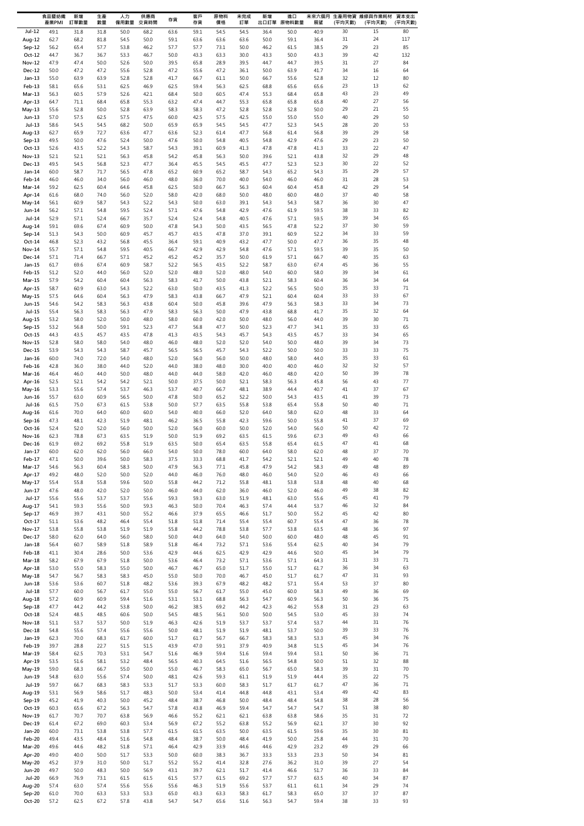|                           | 食品暨紡織<br>產業PMI | 新增<br>訂單數量   | 生產<br>數量     | 人力<br>僱用數量   | 供應商<br>交貨時間  | 存貨           | 客戶<br>存貨     | 原物料<br>價格    | 未完成<br>訂單    | 新增<br>出口訂單   | 進口<br>原物料數量  | 展望           | (平均天數)   | 未來六個月 生產用物資 維修與作業耗材<br>(平均天數) | 資本支出<br>(平均天數) |
|---------------------------|----------------|--------------|--------------|--------------|--------------|--------------|--------------|--------------|--------------|--------------|--------------|--------------|----------|-------------------------------|----------------|
| $Jul-12$                  | 49.1           | 31.8         | 31.8         | 50.0         | 68.2         | 63.6         | 59.1         | 54.5         | 54.5         | 36.4         | 50.0         | 40.9         | 30       | 15                            | 80             |
| Aug-12                    | 62.7           | 68.2         | 81.8         | 54.5         | 50.0         | 59.1         | 63.6         | 63.6         | 63.6         | 50.0         | 59.1         | 36.4         | 31       | 24                            | 117            |
| Sep-12                    | 56.2           | 65.4         | 57.7         | 53.8         | 46.2         | 57.7         | 57.7         | 73.1         | 50.0         | 46.2         | 61.5         | 38.5         | 29       | 23                            | 85             |
| $Oct-12$<br><b>Nov-12</b> | 44.7<br>47.9   | 36.7<br>47.4 | 36.7<br>50.0 | 53.3<br>52.6 | 46.7<br>50.0 | 50.0<br>39.5 | 43.3<br>65.8 | 63.3<br>28.9 | 30.0<br>39.5 | 43.3<br>44.7 | 50.0<br>44.7 | 43.3<br>39.5 | 39<br>31 | 42<br>27                      | 132<br>84      |
| Dec-12                    | 50.0           | 47.2         | 47.2         | 55.6         | 52.8         | 47.2         | 55.6         | 47.2         | 36.1         | 50.0         | 63.9         | 41.7         | 34       | 16                            | 64             |
| $Jan-13$                  | 55.0           | 63.9         | 63.9         | 52.8         | 52.8         | 41.7         | 66.7         | 61.1         | 50.0         | 66.7         | 55.6         | 52.8         | 32       | 12                            | 80             |
| Feb-13                    | 58.1           | 65.6         | 53.1         | 62.5         | 46.9         | 62.5         | 59.4         | 56.3         | 62.5         | 68.8         | 65.6         | 65.6         | 23       | 13                            | 62             |
| Mar-13                    | 56.3           | 60.5         | 57.9         | 52.6         | 42.1         | 68.4         | 50.0         | 60.5         | 47.4         | 55.3         | 68.4         | 65.8         | 43<br>40 | 23<br>27                      | 49<br>56       |
| Apr-13<br>$May-13$        | 64.7<br>55.6   | 71.1<br>52.8 | 68.4<br>50.0 | 65.8<br>52.8 | 55.3<br>63.9 | 63.2<br>58.3 | 47.4<br>58.3 | 44.7<br>47.2 | 55.3<br>52.8 | 65.8<br>52.8 | 65.8<br>52.8 | 65.8<br>50.0 | 29       | 21                            | 55             |
| Jun-13                    | 57.0           | 57.5         | 62.5         | 57.5         | 47.5         | 60.0         | 42.5         | 57.5         | 42.5         | 55.0         | 55.0         | 55.0         | 40       | 29                            | 50             |
| $Jul-13$                  | 58.6           | 54.5         | 54.5         | 68.2         | 50.0         | 65.9         | 65.9         | 54.5         | 54.5         | 47.7         | 52.3         | 54.5         | 28       | 20                            | 53             |
| Aug-13                    | 62.7           | 65.9         | 72.7         | 63.6         | 47.7         | 63.6         | 52.3         | 61.4         | 47.7         | 56.8         | 61.4         | 56.8         | 39       | 29                            | 58             |
| Sep-13<br>$Oct-13$        | 49.5<br>52.6   | 50.0<br>43.5 | 47.6<br>52.2 | 52.4<br>54.3 | 50.0<br>58.7 | 47.6<br>54.3 | 50.0<br>39.1 | 54.8<br>60.9 | 40.5<br>41.3 | 54.8<br>47.8 | 42.9<br>47.8 | 47.6<br>41.3 | 29<br>33 | 23<br>22                      | 50<br>47       |
| Nov-13                    | 52.1           | 52.1         | 52.1         | 56.3         | 45.8         | 54.2         | 45.8         | 56.3         | 50.0         | 39.6         | 52.1         | 43.8         | 32       | 29                            | 48             |
| Dec-13                    | 49.5           | 54.5         | 56.8         | 52.3         | 47.7         | 36.4         | 45.5         | 54.5         | 45.5         | 47.7         | 52.3         | 52.3         | 30       | 22                            | 52             |
| Jan-14                    | 60.0           | 58.7         | 71.7         | 56.5         | 47.8         | 65.2         | 60.9         | 65.2         | 58.7         | 54.3         | 65.2         | 54.3         | 35       | 29                            | 57             |
| Feb-14<br>Mar-14          | 46.0<br>59.2   | 46.0<br>62.5 | 34.0         | 56.0<br>64.6 | 46.0<br>45.8 | 48.0<br>62.5 | 36.0<br>50.0 | 70.0<br>66.7 | 40.0<br>56.3 | 54.0<br>60.4 | 46.0<br>60.4 | 46.0<br>45.8 | 31<br>42 | 28<br>29                      | 53<br>54       |
| Apr-14                    | 61.6           | 68.0         | 60.4<br>74.0 | 56.0         | 52.0         | 58.0         | 42.0         | 68.0         | 50.0         | 48.0         | 60.0         | 48.0         | 37       | 40                            | 58             |
| May-14                    | 56.1           | 60.9         | 58.7         | 54.3         | 52.2         | 54.3         | 50.0         | 63.0         | 39.1         | 54.3         | 54.3         | 58.7         | 36       | 30                            | 47             |
| Jun-14                    | 56.2           | 57.1         | 54.8         | 59.5         | 52.4         | 57.1         | 47.6         | 54.8         | 42.9         | 47.6         | 61.9         | 59.5         | 38       | 33                            | 82             |
| $Jul-14$                  | 52.9           | 57.1         | 52.4         | 66.7         | 35.7         | 52.4         | 52.4         | 54.8         | 40.5         | 47.6         | 57.1         | 59.5         | 39       | 34                            | 65             |
| Aug-14<br>Sep-14          | 59.1<br>51.3   | 69.6<br>54.3 | 67.4<br>50.0 | 60.9<br>60.9 | 50.0<br>45.7 | 47.8<br>45.7 | 54.3<br>43.5 | 50.0<br>47.8 | 43.5<br>37.0 | 56.5<br>39.1 | 47.8<br>60.9 | 52.2<br>52.2 | 37<br>34 | 30<br>33                      | 59<br>59       |
| Oct-14                    | 46.8           | 52.3         | 43.2         | 56.8         | 45.5         | 36.4         | 59.1         | 40.9         | 43.2         | 47.7         | 50.0         | 47.7         | 36       | 35                            | 48             |
| Nov-14                    | 55.7           | 57.1         | 54.8         | 59.5         | 40.5         | 66.7         | 42.9         | 42.9         | 54.8         | 47.6         | 57.1         | 59.5         | 39       | 35                            | 50             |
| Dec-14                    | 57.1           | 71.4         | 66.7         | 57.1         | 45.2         | 45.2         | 45.2         | 35.7         | 50.0         | 61.9         | 57.1         | 66.7         | 40       | 35                            | 63             |
| $Jan-15$                  | 61.7<br>51.2   | 69.6<br>52.0 | 67.4         | 60.9         | 58.7         | 52.2<br>52.0 | 56.5         | 43.5         | 52.2<br>48.0 | 58.7<br>54.0 | 63.0<br>60.0 | 67.4         | 45<br>39 | 36<br>34                      | 55<br>61       |
| Feb-15<br>Mar-15          | 57.9           | 54.2         | 44.0<br>60.4 | 56.0<br>60.4 | 52.0<br>56.3 | 58.3         | 48.0<br>41.7 | 52.0<br>50.0 | 43.8         | 52.1         | 58.3         | 58.0<br>60.4 | 36       | 34                            | 64             |
| Apr-15                    | 58.7           | 60.9         | 63.0         | 54.3         | 52.2         | 63.0         | 50.0         | 43.5         | 41.3         | 52.2         | 56.5         | 50.0         | 35       | 33                            | 71             |
| May-15                    | 57.5           | 64.6         | 60.4         | 56.3         | 47.9         | 58.3         | 43.8         | 66.7         | 47.9         | 52.1         | 60.4         | 60.4         | 33       | 33                            | 67             |
| Jun-15                    | 54.6           | 54.2         | 58.3         | 56.3         | 43.8         | 60.4         | 50.0         | 45.8         | 39.6         | 47.9         | 56.3         | 58.3         | 33       | 34                            | 73             |
| $Jul-15$<br>Aug-15        | 55.4<br>53.2   | 56.3<br>58.0 | 58.3<br>52.0 | 56.3<br>50.0 | 47.9<br>48.0 | 58.3<br>58.0 | 56.3<br>60.0 | 50.0<br>42.0 | 47.9<br>50.0 | 43.8<br>48.0 | 68.8<br>56.0 | 41.7<br>44.0 | 35<br>39 | 32<br>30                      | 64<br>71       |
| Sep-15                    | 53.2           | 56.8         | 50.0         | 59.1         | 52.3         | 47.7         | 56.8         | 47.7         | 50.0         | 52.3         | 47.7         | 34.1         | 35       | 33                            | 65             |
| $Oct-15$                  | 44.3           | 43.5         | 45.7         | 43.5         | 47.8         | 41.3         | 43.5         | 54.3         | 45.7         | 54.3         | 43.5         | 45.7         | 33       | 34                            | 65             |
| <b>Nov-15</b>             | 52.8           | 58.0         | 58.0         | 54.0         | 48.0         | 46.0         | 48.0         | 52.0         | 52.0         | 54.0         | 50.0         | 48.0         | 39       | 34                            | 73             |
| Dec-15                    | 53.9           | 54.3         | 54.3         | 58.7         | 45.7         | 56.5         | 56.5         | 45.7         | 54.3         | 52.2         | 50.0         | 50.0         | 33       | 33                            | 75<br>61       |
| Jan-16<br>Feb-16          | 60.0<br>42.8   | 74.0<br>36.0 | 72.0<br>38.0 | 54.0<br>44.0 | 48.0<br>52.0 | 52.0<br>44.0 | 56.0<br>38.0 | 56.0<br>48.0 | 50.0<br>30.0 | 48.0<br>40.0 | 58.0<br>40.0 | 44.0<br>46.0 | 35<br>32 | 33<br>32                      | 57             |
| Mar-16                    | 46.4           | 46.0         | 44.0         | 50.0         | 48.0         | 44.0         | 44.0         | 58.0         | 42.0         | 46.0         | 48.0         | 42.0         | 50       | 39                            | 78             |
| Apr-16                    | 52.5           | 52.1         | 54.2         | 54.2         | 52.1         | 50.0         | 37.5         | 50.0         | 52.1         | 58.3         | 56.3         | 45.8         | 56       | 43                            | 77             |
| May-16                    | 53.3           | 55.6         | 57.4         | 53.7         | 46.3         | 53.7         | 40.7         | 66.7         | 48.1         | 38.9         | 44.4         | 40.7         | 41       | 37                            | 67             |
| Jun-16<br>Jul-16          | 55.7           | 63.0<br>75.0 | 60.9<br>67.3 | 56.5<br>61.5 | 50.0<br>53.8 | 47.8<br>50.0 | 50.0<br>57.7 | 65.2<br>63.5 | 52.2<br>55.8 | 50.0<br>53.8 | 54.3<br>65.4 | 43.5<br>55.8 | 41<br>50 | 39<br>40                      | 73<br>71       |
| Aug-16                    | 61.5<br>61.6   | 70.0         | 64.0         | 60.0         | 60.0         | 54.0         | 40.0         | 66.0         | 52.0         | 64.0         | 58.0         | 62.0         | 48       | 33                            | 64             |
| Sep-16                    | 47.3           | 48.1         | 42.3         | 51.9         | 48.1         | 46.2         | 36.5         | 55.8         | 42.3         | 59.6         | 50.0         | 55.8         | 41       | 37                            | 69             |
| Oct-16                    | 52.4           | 52.0         | 52.0         | 56.0         | 50.0         | 52.0         | 56.0         | 60.0         | 50.0         | 52.0         | 54.0         | 56.0         | 50       | 42                            | 72             |
| Nov-16                    | 62.3           | 78.8         | 67.3         | 63.5         | 51.9         | 50.0         | 51.9         | 69.2         | 63.5         | 61.5         | 59.6         | 67.3         | 49       | 43                            | 66             |
| Dec-16<br>$Jan-17$        | 61.9<br>60.0   | 69.2<br>62.0 | 69.2<br>62.0 | 55.8<br>56.0 | 51.9<br>66.0 | 63.5<br>54.0 | 50.0<br>50.0 | 65.4<br>78.0 | 63.5<br>60.0 | 55.8<br>64.0 | 65.4<br>58.0 | 61.5<br>62.0 | 47<br>48 | 41<br>37                      | 68<br>70       |
| Feb-17                    | 47.1           | 50.0         | 39.6         | 50.0         | 58.3         | 37.5         | 33.3         | 68.8         | 41.7         | 54.2         | 52.1         | 52.1         | 49       | 40                            | 78             |
| Mar-17                    | 54.6           | 56.3         | 60.4         | 58.3         | 50.0         | 47.9         | 56.3         | 77.1         | 45.8         | 47.9         | 54.2         | 58.3         | 49       | 48                            | 89             |
| Apr-17                    | 49.2           | 48.0         | 52.0         | 50.0         | 52.0         | 44.0         | 46.0         | 76.0         | 48.0         | 46.0         | 54.0         | 52.0         | 46       | 43                            | 66             |
| May-17<br>Jun-17          | 55.4<br>47.6   | 55.8<br>48.0 | 55.8<br>42.0 | 59.6<br>52.0 | 50.0<br>50.0 | 55.8<br>46.0 | 44.2<br>44.0 | 71.2<br>62.0 | 55.8<br>36.0 | 48.1<br>46.0 | 53.8<br>52.0 | 53.8<br>46.0 | 48<br>49 | 40<br>38                      | 68<br>82       |
| Jul-17                    | 55.6           | 55.6         | 53.7         | 53.7         | 55.6         | 59.3         | 59.3         | 63.0         | 51.9         | 48.1         | 63.0         | 55.6         | 45       | 41                            | 79             |
| Aug-17                    | 54.1           | 59.3         | 55.6         | 50.0         | 59.3         | 46.3         | 50.0         | 70.4         | 46.3         | 57.4         | 44.4         | 53.7         | 46       | 32                            | 84             |
| Sep-17                    | 46.9           | 39.7         | 43.1         | 50.0         | 55.2         | 46.6         | 37.9         | 65.5         | 46.6         | 51.7         | 50.0         | 55.2         | 45       | 42                            | 80             |
| $Oct-17$                  | 51.1           | 53.6         | 48.2         | 46.4         | 55.4         | 51.8         | 51.8         | 71.4         | 55.4         | 55.4         | 60.7         | 55.4         | 47<br>48 | 36<br>36                      | 78<br>97       |
| Nov-17<br>Dec-17          | 53.8<br>58.0   | 55.8<br>62.0 | 53.8<br>64.0 | 51.9<br>56.0 | 51.9<br>58.0 | 55.8<br>50.0 | 44.2<br>44.0 | 78.8<br>64.0 | 53.8<br>54.0 | 57.7<br>50.0 | 53.8<br>60.0 | 63.5<br>48.0 | 48       | 45                            | 91             |
| $Jan-18$                  | 56.4           | 60.7         | 58.9         | 51.8         | 58.9         | 51.8         | 46.4         | 73.2         | 57.1         | 53.6         | 55.4         | 62.5         | 40       | 34                            | 79             |
| Feb-18                    | 41.1           | 30.4         | 28.6         | 50.0         | 53.6         | 42.9         | 44.6         | 62.5         | 42.9         | 42.9         | 44.6         | 50.0         | 45       | 34                            | 79             |
| $Mar-18$                  | 58.2           | 67.9         | 67.9         | 51.8         | 50.0         | 53.6         | 46.4         | 73.2         | 57.1         | 53.6         | 57.1         | 64.3         | 31       | 33                            | 71             |
| Apr-18<br>May-18          | 53.0<br>54.7   | 55.0<br>56.7 | 58.3<br>58.3 | 55.0<br>58.3 | 50.0<br>45.0 | 46.7<br>55.0 | 46.7<br>50.0 | 65.0<br>70.0 | 51.7<br>46.7 | 55.0<br>45.0 | 51.7<br>51.7 | 61.7<br>61.7 | 36<br>47 | 34<br>31                      | 63<br>93       |
| Jun-18                    | 53.6           | 53.6         | 60.7         | 51.8         | 48.2         | 53.6         | 39.3         | 67.9         | 48.2         | 48.2         | 57.1         | 55.4         | 53       | 37                            | 80             |
| $Jul-18$                  | 57.7           | 60.0         | 56.7         | 61.7         | 55.0         | 55.0         | 56.7         | 61.7         | 55.0         | 45.0         | 60.0         | 58.3         | 49       | 36                            | 69             |
| Aug-18                    | 57.2           | 60.9         | 60.9         | 59.4         | 51.6         | 53.1         | 53.1         | 68.8         | 56.3         | 54.7         | 60.9         | 56.3         | 50       | 36                            | 75             |
| Sep-18<br>$Oct-18$        | 47.7<br>52.4   | 44.2<br>48.5 | 44.2<br>48.5 | 53.8<br>60.6 | 50.0<br>50.0 | 46.2<br>54.5 | 38.5<br>48.5 | 69.2<br>56.1 | 44.2<br>50.0 | 42.3<br>50.0 | 46.2<br>54.5 | 55.8<br>53.0 | 31<br>45 | 23<br>33                      | 63<br>74       |
| <b>Nov-18</b>             | 51.1           | 53.7         | 53.7         | 50.0         | 51.9         | 46.3         | 42.6         | 51.9         | 53.7         | 53.7         | 57.4         | 53.7         | 44       | 31                            | 76             |
| Dec-18                    | 54.8           | 55.6         | 57.4         | 55.6         | 55.6         | 50.0         | 48.1         | 51.9         | 51.9         | 48.1         | 53.7         | 50.0         | 39       | 33                            | 76             |
| Jan-19                    | 62.3           | 70.0         | 68.3         | 61.7         | 60.0         | 51.7         | 61.7         | 56.7         | 66.7         | 58.3         | 58.3         | 53.3         | 45       | 34                            | 76             |
| Feb-19                    | 39.7           | 28.8         | 22.7         | 51.5         | 51.5         | 43.9         | 47.0         | 59.1         | 37.9         | 40.9         | 34.8         | 51.5         | 45       | 34                            | 76             |
| Mar-19<br>Apr-19          | 58.4<br>53.5   | 62.5<br>51.6 | 70.3<br>58.1 | 53.1<br>53.2 | 54.7<br>48.4 | 51.6<br>56.5 | 46.9<br>40.3 | 59.4<br>64.5 | 51.6<br>51.6 | 59.4<br>56.5 | 59.4<br>54.8 | 53.1<br>50.0 | 50<br>51 | 36<br>32                      | 71<br>88       |
| May-19                    | 59.0           | 68.3         | 66.7         | 55.0         | 50.0         | 55.0         | 46.7         | 58.3         | 65.0         | 56.7         | 65.0         | 58.3         | 39       | 31                            | 70             |
| Jun-19                    | 54.8           | 63.0         | 55.6         | 57.4         | 50.0         | 48.1         | 42.6         | 59.3         | 61.1         | 51.9         | 51.9         | 44.4         | 35       | 22                            | 75             |
| Jul-19                    | 59.7           | 66.7         | 68.3         | 58.3         | 53.3         | 51.7         | 53.3         | 60.0         | 58.3         | 51.7         | 61.7         | 61.7         | 47       | 36                            | 71             |
| Aug-19                    | 53.1           | 56.9         | 58.6         | 51.7         | 48.3         | 50.0         | 53.4         | 41.4         | 44.8         | 44.8         | 43.1         | 53.4         | 49<br>38 | 42<br>28                      | 83<br>56       |
| Sep-19<br>$Oct-19$        | 45.2<br>60.3   | 41.9<br>65.6 | 40.3<br>67.2 | 50.0<br>56.3 | 45.2<br>54.7 | 48.4<br>57.8 | 38.7<br>43.8 | 46.8<br>46.9 | 50.0<br>59.4 | 48.4<br>54.7 | 48.4<br>54.7 | 54.8<br>54.7 | 51       | 38                            | 80             |
| <b>Nov-19</b>             | 61.7           | 70.7         | 70.7         | 63.8         | 56.9         | 46.6         | 55.2         | 62.1         | 62.1         | 63.8         | 63.8         | 58.6         | 35       | 31                            | 72             |
| Dec-19                    | 61.4           | 67.2         | 69.0         | 60.3         | 53.4         | 56.9         | 67.2         | 55.2         | 63.8         | 55.2         | 56.9         | 62.1         | 37       | 30                            | 92             |
| Jan-20                    | 60.0           | 73.1         | 53.8         | 53.8         | 57.7         | 61.5         | 61.5         | 63.5         | 50.0         | 63.5         | 61.5         | 59.6         | 35       | 30                            | 81             |
| Feb-20<br>Mar-20          | 49.4<br>49.6   | 43.5<br>44.6 | 48.4<br>48.2 | 51.6<br>51.8 | 54.8<br>57.1 | 48.4<br>46.4 | 38.7<br>42.9 | 50.0<br>33.9 | 48.4<br>44.6 | 41.9<br>44.6 | 50.0<br>42.9 | 25.8<br>23.2 | 44<br>49 | 31<br>29                      | 70<br>66       |
| Apr-20                    | 49.0           | 40.0         | 50.0         | 51.7         | 53.3         | 50.0         | 60.0         | 38.3         | 36.7         | 33.3         | 53.3         | 23.3         | 50       | 34                            | 81             |
| May-20                    | 45.2           | 37.9         | 31.0         | 50.0         | 51.7         | 55.2         | 55.2         | 41.4         | 32.8         | 27.6         | 36.2         | 31.0         | 39       | 27                            | 54             |
| <b>Jun-20</b>             | 49.7           | 50.0         | 48.3         | 50.0         | 56.9         | 43.1         | 39.7         | 62.1         | 51.7         | 41.4         | 46.6         | 51.7         | 36       | 33                            | 84             |
| <b>Jul-20</b>             | 66.9           | 76.9         | 73.1         | 61.5         | 61.5         | 61.5         | 57.7         | 61.5         | 69.2         | 57.7         | 57.7         | 63.5         | 40       | 34                            | 87             |
| Aug-20<br>Sep-20          | 57.4<br>61.0   | 63.0<br>70.0 | 57.4<br>63.3 | 55.6<br>53.3 | 55.6<br>53.3 | 55.6<br>65.0 | 46.3<br>43.3 | 51.9<br>63.3 | 55.6<br>58.3 | 53.7<br>61.7 | 61.1<br>58.3 | 61.1<br>65.0 | 34<br>37 | 29<br>37                      | 74<br>87       |
| Oct-20                    | 57.2           | 62.5         | 67.2         | 57.8         | 43.8         | 54.7         | 54.7         | 65.6         | 51.6         | 56.3         | 54.7         | 59.4         | 38       | 33                            | 93             |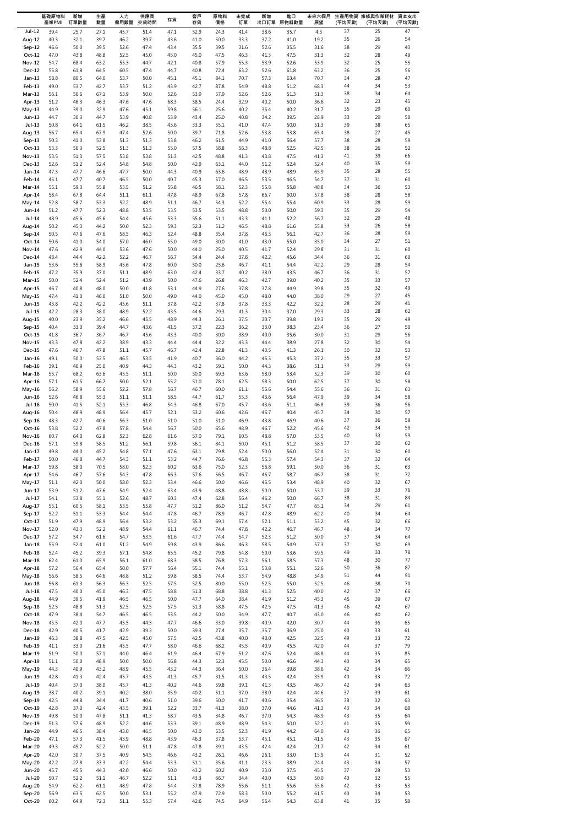|                           | 基礎原物料<br>產業PMI | 新增<br>訂單數量   | 生產<br>數量     | 人力<br>僱用數量   | 供應商<br>交貨時間  | 存貨           | 客戶<br>存貨     | 原物料<br>價格    | 未完成<br>訂單    | 新增           | 進口<br>出口訂單 原物料數量 | 未來六個月<br>展望  | (平均天數)   | 生產用物資 維修與作業耗材<br>(平均天數) | 資本支出<br>(平均天數) |
|---------------------------|----------------|--------------|--------------|--------------|--------------|--------------|--------------|--------------|--------------|--------------|------------------|--------------|----------|-------------------------|----------------|
| $Jul-12$                  | 39.4           | 25.7         | 27.1         | 45.7         | 51.4         | 47.1         | 52.9         | 24.3         | 41.4         | 38.6         | 35.7             | 4.3          | 37       | 25                      | 47             |
| Aug-12                    | 40.3           | 32.1         | 39.7         | 46.2         | 39.7         | 43.6         | 41.0         | 50.0         | 33.3         | 37.2         | 41.0             | 19.2         | 35       | 26                      | 54             |
| Sep-12                    | 46.6           | 50.0         | 39.5         | 52.6         | 47.4         | 43.4         | 35.5         | 39.5         | 31.6         | 52.6         | 35.5             | 31.6         | 38       | 29                      | 43             |
| $Oct-12$<br><b>Nov-12</b> | 47.0<br>54.7   | 43.8<br>68.4 | 48.8<br>63.2 | 52.5<br>55.3 | 45.0<br>44.7 | 45.0<br>42.1 | 45.0<br>40.8 | 47.5<br>57.9 | 46.3<br>55.3 | 41.3<br>53.9 | 47.5<br>52.6     | 31.3<br>53.9 | 32<br>32 | 28<br>25                | 49<br>55       |
| Dec-12                    | 55.8           | 61.8         | 64.5         | 60.5         | 47.4         | 44.7         | 40.8         | 72.4         | 63.2         | 52.6         | 61.8             | 63.2         | 36       | 25                      | 56             |
| $Jan-13$                  | 58.8           | 80.5         | 64.6         | 53.7         | 50.0         | 45.1         | 45.1         | 84.1         | 70.7         | 57.3         | 63.4             | 70.7         | 34       | 28                      | 47             |
| Feb-13                    | 49.0           | 53.7         | 42.7         | 53.7         | 51.2         | 43.9         | 42.7         | 87.8         | 54.9         | 48.8         | 51.2             | 68.3         | 44       | 34                      | 53             |
| $Mar-13$                  | 56.1           | 56.6         | 67.1         | 53.9         | 50.0         | 52.6         | 53.9         | 57.9         | 52.6         | 52.6         | 51.3             | 51.3         | 38<br>32 | 34<br>23                | 64<br>45       |
| Apr-13<br>$May-13$        | 51.2<br>44.9   | 46.3<br>39.0 | 46.3<br>32.9 | 47.6<br>47.6 | 47.6<br>45.1 | 68.3<br>59.8 | 58.5<br>56.1 | 24.4<br>25.6 | 32.9<br>40.2 | 40.2<br>35.4 | 50.0<br>40.2     | 36.6<br>31.7 | 35       | 29                      | 60             |
| Jun-13                    | 44.7           | 30.3         | 44.7         | 53.9         | 40.8         | 53.9         | 43.4         | 25.0         | 40.8         | 34.2         | 39.5             | 28.9         | 33       | 29                      | 50             |
| Jul-13                    | 50.8           | 64.1         | 61.5         | 46.2         | 38.5         | 43.6         | 33.3         | 55.1         | 41.0         | 47.4         | 50.0             | 51.3         | 39       | 38                      | 65             |
| Aug-13                    | 56.7           | 65.4         | 67.9         | 47.4         | 52.6         | 50.0         | 39.7         | 71.8         | 52.6         | 53.8         | 53.8             | 65.4         | 38       | 27                      | 45             |
| $Sep-13$<br>$Oct-13$      | 50.3<br>53.3   | 41.0<br>56.3 | 53.8<br>52.5 | 51.3<br>51.3 | 51.3<br>51.3 | 53.8<br>55.0 | 46.2<br>57.5 | 61.5<br>58.8 | 44.9<br>56.3 | 41.0<br>48.8 | 56.4<br>52.5     | 57.7<br>42.5 | 38<br>38 | 28<br>26                | 59<br>52       |
| Nov-13                    | 53.5           | 51.3         | 57.5         | 53.8         | 53.8         | 51.3         | 42.5         | 48.8         | 41.3         | 43.8         | 47.5             | 41.3         | 41       | 39                      | 66             |
| Dec-13                    | 52.6           | 51.2         | 52.4         | 54.8         | 54.8         | 50.0         | 42.9         | 63.1         | 44.0         | 51.2         | 52.4             | 52.4         | 40       | 35                      | 59             |
| Jan-14                    | 47.3           | 47.7         | 46.6         | 47.7         | 50.0         | 44.3         | 40.9         | 63.6         | 48.9         | 48.9         | 48.9             | 65.9         | 35       | 28                      | 55             |
| Feb-14<br>Mar-14          | 45.1<br>55.1   | 47.7<br>59.3 | 40.7<br>55.8 | 46.5<br>53.5 | 50.0<br>51.2 | 40.7<br>55.8 | 45.3<br>46.5 | 57.0<br>58.1 | 46.5<br>52.3 | 53.5<br>55.8 | 46.5<br>55.8     | 54.7<br>48.8 | 37<br>34 | 31<br>36                | 60<br>53       |
| Apr-14                    | 58.4           | 67.8         | 64.4         | 51.1         | 61.1         | 47.8         | 48.9         | 67.8         | 57.8         | 66.7         | 60.0             | 57.8         | 38       | 28                      | 58             |
| May-14                    | 52.8           | 58.7         | 53.3         | 52.2         | 48.9         | 51.1         | 46.7         | 54.3         | 52.2         | 55.4         | 55.4             | 60.9         | 33       | 28                      | 59             |
| Jun-14                    | 51.2           | 47.7         | 52.3         | 48.8         | 53.5         | 53.5         | 53.5         | 53.5         | 48.8         | 50.0         | 50.0             | 59.3         | 35       | 29                      | 54             |
| Jul-14                    | 48.9           | 45.6         | 45.6         | 54.4         | 45.6         | 53.3         | 55.6         | 51.1         | 43.3         | 41.1         | 52.2             | 56.7         | 32       | 29                      | 48             |
| Aug-14<br>Sep-14          | 50.2<br>50.5   | 45.3<br>47.6 | 44.2<br>47.6 | 50.0<br>58.5 | 52.3<br>46.3 | 59.3<br>52.4 | 52.3<br>48.8 | 51.2<br>35.4 | 46.5<br>37.8 | 48.8<br>46.3 | 61.6<br>56.1     | 55.8<br>42.7 | 33<br>36 | 26<br>28                | 58<br>59       |
| $Oct-14$                  | 50.6           | 41.0         | 54.0         | 57.0         | 46.0         | 55.0         | 49.0         | 30.0         | 41.0         | 43.0         | 55.0             | 35.0         | 34       | 27                      | 51             |
| <b>Nov-14</b>             | 47.6           | 42.9         | 44.0         | 53.6         | 47.6         | 50.0         | 44.0         | 25.0         | 40.5         | 41.7         | 52.4             | 29.8         | 31       | 31                      | 60             |
| Dec-14                    | 48.4           | 44.4         | 42.2         | 52.2         | 46.7         | 56.7         | 54.4         | 24.4         | 37.8         | 42.2         | 45.6             | 34.4         | 36       | 31                      | 60             |
| Jan-15<br>Feb-15          | 53.6<br>47.2   | 55.6<br>35.9 | 58.9<br>37.0 | 45.6<br>51.1 | 47.8<br>48.9 | 60.0<br>63.0 | 50.0<br>42.4 | 25.6<br>33.7 | 46.7<br>40.2 | 41.1<br>38.0 | 54.4<br>43.5     | 42.2<br>46.7 | 29<br>36 | 28<br>31                | 54<br>57       |
| Mar-15                    | 50.0           | 52.4         | 52.4         | 51.2         | 43.9         | 50.0         | 47.6         | 26.8         | 46.3         | 42.7         | 39.0             | 40.2         | 35       | 33                      | 57             |
| Apr-15                    | 46.7           | 40.8         | 48.0         | 50.0         | 41.8         | 53.1         | 44.9         | 27.6         | 37.8         | 37.8         | 44.9             | 39.8         | 35       | 32                      | 49             |
| May-15                    | 47.4           | 41.0         | 46.0         | 51.0         | 50.0         | 49.0         | 44.0         | 45.0         | 45.0         | 48.0         | 44.0             | 38.0         | 29       | 27                      | 45             |
| Jun-15<br>Jul-15          | 43.8<br>42.2   | 42.2<br>28.3 | 42.2<br>38.0 | 45.6<br>48.9 | 51.1<br>52.2 | 37.8<br>43.5 | 42.2<br>44.6 | 37.8<br>29.3 | 37.8<br>41.3 | 33.3<br>30.4 | 42.2<br>37.0     | 32.2<br>29.3 | 28<br>33 | 29<br>28                | 41<br>62       |
| Aug-15                    | 40.0           | 23.9         | 35.2         | 46.6         | 45.5         | 48.9         | 44.3         | 26.1         | 37.5         | 30.7         | 39.8             | 19.3         | 35       | 29                      | 49             |
| Sep-15                    | 40.4           | 33.0         | 39.4         | 44.7         | 43.6         | 41.5         | 37.2         | 22.3         | 36.2         | 33.0         | 38.3             | 23.4         | 36       | 27                      | 50             |
| $Oct-15$                  | 41.8           | 36.7         | 36.7         | 46.7         | 45.6         | 43.3         | 40.0         | 30.0         | 38.9         | 40.0         | 35.6             | 30.0         | 31       | 29                      | 56             |
| Nov-15<br>Dec-15          | 43.3<br>47.6   | 47.8<br>46.7 | 42.2<br>47.8 | 38.9         | 43.3<br>45.7 | 44.4<br>46.7 | 44.4<br>42.4 | 32.2<br>22.8 | 43.3<br>41.3 | 44.4<br>43.5 | 38.9<br>41.3     | 27.8<br>26.1 | 32<br>30 | 30<br>32                | 54<br>53       |
| Jan-16                    | 49.1           | 50.0         | 53.5         | 51.1<br>46.5 | 53.5         | 41.9         | 40.7         | 36.0         | 44.2         | 45.3         | 45.3             | 37.2         | 35       | 33                      | 57             |
| Feb-16                    | 39.1           | 40.9         | 25.0         | 40.9         | 44.3         | 44.3         | 43.2         | 59.1         | 50.0         | 44.3         | 38.6             | 51.1         | 33       | 29                      | 59             |
| Mar-16                    | 55.7           | 68.2         | 63.6         | 45.5         | 51.1         | 50.0         | 50.0         | 69.3         | 63.6         | 58.0         | 53.4             | 52.3         | 39       | 30                      | 60             |
| Apr-16                    | 57.1           | 61.5         | 66.7         | 50.0         | 52.1         | 55.2         | 51.0         | 78.1         | 62.5         | 58.3         | 50.0             | 62.5         | 37       | 30                      | 58             |
| May-16<br>Jun-16          | 56.2<br>52.6   | 58.9<br>46.8 | 55.6<br>55.3 | 52.2<br>51.1 | 57.8<br>51.1 | 56.7<br>58.5 | 46.7<br>44.7 | 60.0<br>61.7 | 61.1<br>55.3 | 55.6<br>43.6 | 54.4<br>56.4     | 55.6<br>47.9 | 36<br>39 | 31<br>34                | 63<br>58       |
| Jul-16                    | 50.0           | 41.5         | 52.1         | 55.3         | 46.8         | 54.3         | 46.8         | 67.0         | 45.7         | 43.6         | 51.1             | 46.8         | 39       | 36                      | 56             |
| Aug-16                    | 50.4           | 48.9         | 48.9         | 56.4         | 45.7         | 52.1         | 53.2         | 60.6         | 42.6         | 45.7         | 40.4             | 45.7         | 34       | 30                      | 57             |
| Sep-16                    | 48.3           | 42.7         | 40.6         | 56.3         | 51.0         | 51.0         | 51.0         | 51.0         | 46.9         | 43.8         | 46.9             | 40.6         | 37       | 36                      | 59             |
| Oct-16<br><b>Nov-16</b>   | 53.8<br>60.7   | 52.2<br>64.0 | 47.8<br>62.8 | 57.8<br>52.3 | 54.4<br>62.8 | 56.7<br>61.6 | 50.0<br>57.0 | 65.6<br>79.1 | 48.9<br>60.5 | 46.7<br>48.8 | 52.2<br>57.0     | 45.6<br>53.5 | 42<br>40 | 34<br>33                | 59<br>59       |
| Dec-16                    | 57.1           | 59.8         | 58.5         | 51.2         | 56.1         | 59.8         | 56.1         | 84.1         | 50.0         | 45.1         | 51.2             | 58.5         | 37       | 30                      | 62             |
| $Jan-17$                  | 49.8           | 44.0         | 45.2         | 54.8         | 57.1         | 47.6         | 63.1         | 79.8         | 52.4         | 50.0         | 56.0             | 52.4         | 31       | 30                      | 60             |
| Feb-17                    | 50.0           | 46.8         | 44.7         | 54.3         | 51.1         | 53.2         | 44.7         | 76.6         | 46.8         | 55.3         | 57.4             | 54.3         | 37       | 32                      | 64             |
| $Mar-17$<br>Apr-17        | 59.8<br>54.6   | 58.0<br>46.7 | 70.5<br>57.6 | 58.0<br>54.3 | 52.3<br>47.8 | 60.2<br>66.3 | 63.6<br>57.6 | 75.0<br>56.5 | 52.3<br>46.7 | 56.8<br>46.7 | 59.1<br>58.7     | 50.0<br>46.7 | 36<br>38 | 31<br>31                | 63<br>72       |
| May-17                    | 51.1           | 42.0         | 50.0         | 58.0         | 52.3         | 53.4         | 46.6         | 50.0         | 46.6         | 45.5         | 53.4             | 48.9         | 40       | 32                      | 67             |
| Jun-17                    | 53.9           | 51.2         | 47.6         | 54.9         | 52.4         | 63.4         | 43.9         | 48.8         | 48.8         | 50.0         | 50.0             | 53.7         | 39       | 33                      | 76             |
| Jul-17                    | 54.1           | 53.8         | 55.1         | 52.6         | 48.7         | 60.3         | 47.4         | 62.8         | 56.4         | 46.2         | 50.0             | 66.7         | 38       | 31                      | 84             |
| Aug-17<br>$Sep-17$        | 55.1<br>52.2   | 60.5<br>51.1 | 58.1<br>53.3 | 53.5<br>54.4 | 55.8<br>54.4 | 47.7<br>47.8 | 51.2<br>46.7 | 86.0<br>78.9 | 51.2<br>46.7 | 54.7<br>47.8 | 47.7<br>48.9     | 65.1<br>62.2 | 34<br>40 | 29<br>34                | 61<br>64       |
| $Oct-17$                  | 51.9           | 47.9         | 48.9         | 56.4         | 53.2         | 53.2         | 55.3         | 69.1         | 57.4         | 52.1         | 51.1             | 53.2         | 45       | 32                      | 66             |
| Nov-17                    | 52.0           | 43.3         | 52.2         | 48.9         | 54.4         | 61.1         | 46.7         | 74.4         | 47.8         | 42.2         | 46.7             | 46.7         | 48       | 34                      | 77             |
| Dec-17                    | 57.2           | 54.7         | 61.6         | 54.7         | 53.5         | 61.6         | 47.7         | 74.4         | 54.7         | 52.3         | 51.2             | 50.0         | 37       | 34                      | 64             |
| Jan-18<br>Feb-18          | 55.9<br>52.4   | 52.4<br>45.2 | 61.0<br>39.3 | 51.2<br>57.1 | 54.9<br>54.8 | 59.8<br>65.5 | 43.9<br>45.2 | 86.6<br>79.8 | 46.3<br>54.8 | 58.5<br>50.0 | 54.9<br>53.6     | 57.3<br>59.5 | 37<br>49 | 30<br>33                | 69<br>78       |
| Mar-18                    | 62.4           | 61.0         | 65.9         | 56.1         | 61.0         | 68.3         | 58.5         | 76.8         | 57.3         | 56.1         | 58.5             | 57.3         | 48       | 30                      | 77             |
| Apr-18                    | 57.2           | 56.4         | 65.4         | 50.0         | 57.7         | 56.4         | 55.1         | 74.4         | 55.1         | 53.8         | 55.1             | 52.6         | 50       | 36                      | 87             |
| $May-18$                  | 56.6           | 58.5         | 64.6         | 48.8         | 51.2         | 59.8         | 58.5         | 74.4         | 53.7         | 54.9         | 48.8             | 54.9         | 51       | 44                      | 91             |
| Jun-18<br>$Jul-18$        | 56.8<br>47.5   | 61.3<br>40.0 | 56.3<br>45.0 | 56.3<br>46.3 | 52.5<br>47.5 | 57.5<br>58.8 | 52.5<br>51.3 | 80.0<br>68.8 | 55.0<br>38.8 | 52.5<br>41.3 | 55.0<br>52.5     | 52.5<br>40.0 | 46<br>42 | 38<br>37                | 70<br>66       |
| Aug-18                    | 44.9           | 39.5         | 41.9         | 46.5         | 46.5         | 50.0         | 47.7         | 64.0         | 38.4         | 41.9         | 51.2             | 45.3         | 45       | 39                      | 67             |
| Sep-18                    | 52.5           | 48.8         | 51.3         | 52.5         | 52.5         | 57.5         | 51.3         | 58.8         | 47.5         | 42.5         | 47.5             | 41.3         | 46       | 42                      | 67             |
| $Oct-18$                  | 47.9           | 38.4         | 54.7         | 46.5         | 46.5         | 53.5         | 44.2         | 50.0         | 34.9         | 47.7         | 40.7             | 43.0         | 46       | 40                      | 62             |
| Nov-18<br>Dec-18          | 45.5<br>42.9   | 42.0<br>40.5 | 47.7<br>41.7 | 45.5<br>42.9 | 44.3<br>39.3 | 47.7<br>50.0 | 46.6<br>39.3 | 33.0<br>27.4 | 39.8<br>35.7 | 40.9<br>35.7 | 42.0<br>36.9     | 30.7<br>25.0 | 44<br>40 | 36<br>33                | 65<br>61       |
| $Jan-19$                  | 46.3           | 38.8         | 47.5         | 42.5         | 45.0         | 57.5         | 42.5         | 43.8         | 40.0         | 40.0         | 42.5             | 32.5         | 49       | 33                      | 72             |
| Feb-19                    | 41.1           | 33.0         | 21.6         | 45.5         | 47.7         | 58.0         | 46.6         | 68.2         | 45.5         | 40.9         | 45.5             | 42.0         | 44       | 37                      | 79             |
| Mar-19                    | 51.9           | 50.0         | 57.1         | 44.0         | 46.4         | 61.9         | 46.4         | 67.9         | 51.2         | 47.6         | 52.4             | 48.8         | 44       | 35                      | 85             |
| Apr-19<br>May-19          | 51.1<br>44.3   | 50.0<br>40.9 | 48.9<br>43.2 | 50.0<br>48.9 | 50.0<br>45.5 | 56.8<br>43.2 | 44.3<br>44.3 | 52.3<br>36.4 | 45.5<br>50.0 | 50.0         | 46.6<br>39.8     | 44.3<br>38.6 | 40<br>42 | 34<br>34                | 65<br>66       |
| Jun-19                    | 42.8           | 41.3         | 42.4         | 45.7         | 43.5         | 41.3         | 45.7         | 31.5         | 41.3         | 36.4<br>43.5 | 42.4             | 35.9         | 40       | 33                      | 72             |
| Jul-19                    | 40.4           | 37.0         | 38.0         | 45.7         | 41.3         | 40.2         | 44.6         | 59.8         | 39.1         | 41.3         | 43.5             | 46.7         | 42       | 34                      | 63             |
| Aug-19                    | 38.7           | 40.2         | 39.1         | 40.2         | 38.0         | 35.9         | 40.2         | 51.1         | 37.0         | 38.0         | 42.4             | 44.6         | 37       | 39                      | 61             |
| Sep-19                    | 42.5           | 44.8         | 34.4         | 41.7         | 40.6         | 51.0         | 39.6         | 50.0         | 41.7         | 40.6         | 35.4             | 36.5         | 38       | 32                      | 63             |
| $Oct-19$<br>Nov-19        | 42.8<br>49.8   | 37.0<br>50.0 | 42.4<br>47.8 | 43.5<br>51.1 | 39.1<br>41.3 | 52.2<br>58.7 | 33.7<br>43.5 | 41.3<br>34.8 | 38.0<br>46.7 | 37.0<br>37.0 | 44.6<br>54.3     | 41.3<br>48.9 | 43<br>43 | 34<br>35                | 68<br>64       |
| Dec-19                    | 51.3           | 57.6         | 48.9         | 52.2         | 44.6         | 53.3         | 39.1         | 48.9         | 48.9         | 54.3         | 50.0             | 52.2         | 41       | 35                      | 59             |
| Jan-20                    | 44.9           | 46.5         | 38.4         | 43.0         | 46.5         | 50.0         | 43.0         | 53.5         | 52.3         | 41.9         | 44.2             | 64.0         | 40       | 36                      | 65             |
| Feb-20                    | 47.1           | 57.3         | 41.5         | 43.9         | 48.8         | 43.9         | 46.3         | 37.8         | 53.7         | 45.1         | 45.1             | 41.5         | 43       | 35                      | 67             |
| Mar-20<br>Apr-20          | 49.3<br>42.0   | 45.7<br>30.7 | 52.2<br>37.5 | 50.0<br>40.9 | 51.1<br>54.5 | 47.8<br>46.6 | 47.8<br>43.2 | 39.1<br>26.1 | 43.5<br>46.6 | 42.4<br>26.1 | 42.4<br>33.0     | 21.7<br>15.9 | 42<br>44 | 34<br>31                | 61<br>52       |
| May-20                    | 42.2           | 27.8         | 33.3         | 42.2         | 54.4         | 53.3         | 51.1         | 35.6         | 41.1         | 23.3         | 38.9             | 24.4         | 43       | 34                      | 57             |
| Jun-20                    | 45.7           | 45.5         | 44.3         | 42.0         | 46.6         | 50.0         | 43.2         | 60.2         | 40.9         | 33.0         | 37.5             | 45.5         | 37       | 28                      | 53             |
| <b>Jul-20</b>             | 50.7           | 52.2         | 51.1         | 46.7         | 52.2         | 51.1         | 43.3         | 66.7         | 34.4         | 40.0         | 43.3             | 50.0         | 40       | 32                      | 55             |
| Aug-20<br>Sep-20          | 54.9<br>56.9   | 62.2<br>63.5 | 61.1<br>62.5 | 48.9<br>50.0 | 47.8<br>53.1 | 54.4<br>55.2 | 37.8<br>47.9 | 78.9<br>72.9 | 55.6<br>58.3 | 51.1<br>50.0 | 55.6<br>55.2     | 55.6<br>61.5 | 42<br>40 | 33<br>34                | 53<br>53       |
| Oct-20                    | 60.2           | 64.9         | 72.3         | 51.1         | 55.3         | 57.4         | 42.6         | 74.5         | 64.9         | 56.4         | 54.3             | 63.8         | 41       | 35                      | 58             |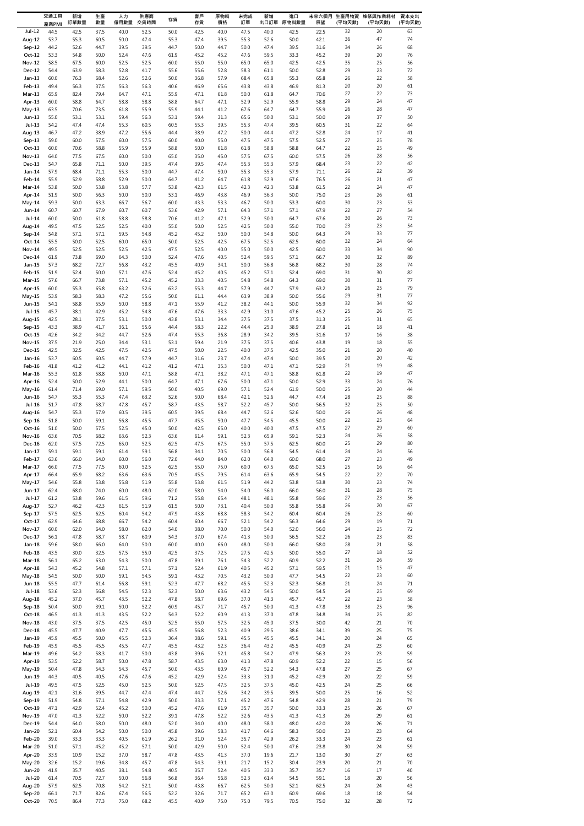|                                | 交通工具<br>產業PMI | 新增<br>訂單數量   | 生產<br>數量     | 人力<br>僱用數量   | 供應商<br>交貨時間  | 存貨           | 客戶<br>存貨     | 原物料<br>價格    | 未完成<br>訂單    | 新增           | 進口<br>出口訂單 原物料數量 | 展望           | 未來六個月 生產用物資<br>(平均天數) | 維修與作業耗材<br>(平均天數) | 資本支出<br>(平均天數) |
|--------------------------------|---------------|--------------|--------------|--------------|--------------|--------------|--------------|--------------|--------------|--------------|------------------|--------------|-----------------------|-------------------|----------------|
| $Jul-12$                       | 44.5          | 42.5         | 37.5         | 40.0         | 52.5         | 50.0         | 42.5         | 40.0         | 47.5         | 40.0         | 42.5             | 22.5         | 32                    | 20                | 63             |
| Aug-12                         | 53.7          | 55.3         | 60.5         | 50.0         | 47.4         | 55.3         | 47.4         | 39.5         | 55.3         | 52.6         | 50.0             | 42.1         | 36                    | 47                | 74             |
| Sep-12<br>$Oct-12$             | 44.2<br>53.3  | 52.6<br>54.8 | 44.7<br>50.0 | 39.5<br>52.4 | 39.5<br>47.6 | 44.7<br>61.9 | 50.0<br>45.2 | 44.7<br>45.2 | 50.0<br>47.6 | 47.4<br>59.5 | 39.5<br>33.3     | 31.6<br>45.2 | 34<br>39              | 26<br>20          | 68<br>76       |
| <b>Nov-12</b>                  | 58.5          | 67.5         | 60.0         | 52.5         | 52.5         | 60.0         | 55.0         | 55.0         | 65.0         | 65.0         | 42.5             | 42.5         | 35                    | 25                | 56             |
| Dec-12                         | 54.4          | 63.9         | 58.3         | 52.8         | 41.7         | 55.6         | 55.6         | 52.8         | 58.3         | 61.1         | 50.0             | 52.8         | 29                    | 23                | 72             |
| $Jan-13$<br>Feb-13             | 60.0<br>49.4  | 76.3<br>56.3 | 68.4<br>37.5 | 52.6<br>56.3 | 52.6<br>56.3 | 50.0<br>40.6 | 36.8<br>46.9 | 57.9<br>65.6 | 68.4<br>43.8 | 65.8<br>43.8 | 55.3<br>46.9     | 65.8<br>81.3 | 26<br>20              | 22<br>20          | 58<br>61       |
| Mar-13                         | 65.9          | 82.4         | 79.4         | 64.7         | 47.1         | 55.9         | 47.1         | 61.8         | 50.0         | 61.8         | 64.7             | 70.6         | 27                    | 22                | 73             |
| Apr-13                         | 60.0          | 58.8         | 64.7         | 58.8         | 58.8         | 58.8         | 64.7         | 47.1         | 52.9         | 52.9         | 55.9             | 58.8         | 29                    | 24                | 47             |
| May-13                         | 63.5          | 70.6         | 73.5         | 61.8         | 55.9         | 55.9         | 44.1         | 41.2         | 67.6         | 64.7         | 64.7             | 55.9         | 26<br>29              | 28<br>37          | 47<br>50       |
| Jun-13<br>Jul-13               | 55.0<br>54.2  | 53.1<br>47.4 | 53.1<br>47.4 | 59.4<br>55.3 | 56.3<br>60.5 | 53.1<br>60.5 | 59.4<br>55.3 | 31.3<br>39.5 | 65.6<br>55.3 | 50.0<br>47.4 | 53.1<br>39.5     | 50.0<br>60.5 | 31                    | 22                | 64             |
| Aug-13                         | 46.7          | 47.2         | 38.9         | 47.2         | 55.6         | 44.4         | 38.9         | 47.2         | 50.0         | 44.4         | 47.2             | 52.8         | 24                    | 17                | 41             |
| Sep-13                         | 59.0          | 60.0         | 57.5         | 60.0         | 57.5         | 60.0         | 40.0         | 55.0         | 47.5         | 47.5         | 57.5             | 52.5         | 27                    | 25                | 78             |
| Oct-13<br>Nov-13               | 60.0<br>64.0  | 70.6<br>77.5 | 58.8<br>67.5 | 55.9<br>60.0 | 55.9<br>50.0 | 58.8<br>65.0 | 50.0<br>35.0 | 61.8<br>45.0 | 61.8<br>57.5 | 58.8<br>67.5 | 58.8<br>60.0     | 64.7<br>57.5 | 22<br>26              | 25<br>28          | 49<br>56       |
| Dec-13                         | 54.7          | 65.8         | 71.1         | 50.0         | 39.5         | 47.4         | 39.5         | 47.4         | 55.3         | 55.3         | 57.9             | 68.4         | 23                    | 22                | 42             |
| Jan-14                         | 57.9          | 68.4         | 71.1         | 55.3         | 50.0         | 44.7         | 47.4         | 50.0         | 55.3         | 55.3         | 57.9             | 71.1         | 26                    | 22                | 39             |
| Feb-14                         | 55.9          | 52.9         | 58.8         | 52.9         | 50.0         | 64.7         | 41.2         | 64.7         | 61.8         | 52.9         | 67.6             | 76.5         | 26                    | 21                | 47             |
| Mar-14<br>Apr-14               | 53.8<br>51.9  | 50.0<br>50.0 | 53.8<br>56.3 | 53.8<br>50.0 | 57.7<br>50.0 | 53.8<br>53.1 | 42.3<br>46.9 | 61.5<br>43.8 | 42.3<br>46.9 | 42.3<br>56.3 | 53.8<br>50.0     | 61.5<br>75.0 | 22<br>23              | 24<br>26          | 47<br>61       |
| May-14                         | 59.3          | 50.0         | 63.3         | 66.7         | 56.7         | 60.0         | 43.3         | 53.3         | 46.7         | 50.0         | 53.3             | 60.0         | 30                    | 23                | 53             |
| Jun-14                         | 60.7          | 60.7         | 67.9         | 60.7         | 60.7         | 53.6         | 42.9         | 57.1         | 64.3         | 57.1         | 57.1             | 67.9         | 22                    | 27                | 54             |
| Jul-14<br>Aug-14               | 60.0<br>49.5  | 50.0<br>47.5 | 61.8<br>52.5 | 58.8<br>52.5 | 58.8<br>40.0 | 70.6<br>55.0 | 41.2<br>50.0 | 47.1<br>52.5 | 52.9<br>42.5 | 50.0<br>50.0 | 64.7<br>55.0     | 67.6<br>70.0 | 30<br>23              | 26<br>23          | 73<br>54       |
| Sep-14                         | 54.8          | 57.1         | 57.1         | 59.5         | 54.8         | 45.2         | 45.2         | 50.0         | 50.0         | 54.8         | 50.0             | 64.3         | 29                    | 33                | 77             |
| $Oct-14$                       | 55.5          | 50.0         | 52.5         | 60.0         | 65.0         | 50.0         | 52.5         | 42.5         | 67.5         | 52.5         | 62.5             | 60.0         | 32                    | 24                | 64             |
| <b>Nov-14</b><br>Dec-14        | 49.5<br>61.9  | 52.5<br>73.8 | 52.5<br>69.0 | 52.5<br>64.3 | 42.5<br>50.0 | 47.5<br>52.4 | 52.5<br>47.6 | 40.0<br>40.5 | 55.0<br>52.4 | 50.0<br>59.5 | 42.5<br>57.1     | 60.0<br>66.7 | 33<br>30              | 34<br>32          | 90<br>89       |
| Jan-15                         | 57.3          | 68.2         | 72.7         | 56.8         | 43.2         | 45.5         | 40.9         | 34.1         | 50.0         | 56.8         | 56.8             | 68.2         | 30                    | 28                | 74             |
| Feb-15                         | 51.9          | 52.4         | 50.0         | 57.1         | 47.6         | 52.4         | 45.2         | 40.5         | 45.2         | 57.1         | 52.4             | 69.0         | 31                    | 30                | 82             |
| $Mar-15$                       | 57.6          | 66.7         | 73.8         | 57.1         | 45.2         | 45.2         | 33.3         | 40.5         | 54.8         | 54.8         | 64.3             | 69.0         | 30                    | 31                | 77             |
| Apr-15<br>May-15               | 60.0<br>53.9  | 55.3<br>58.3 | 65.8<br>58.3 | 63.2<br>47.2 | 52.6<br>55.6 | 63.2<br>50.0 | 55.3<br>61.1 | 44.7<br>44.4 | 57.9<br>63.9 | 44.7<br>38.9 | 57.9<br>50.0     | 63.2<br>55.6 | 26<br>29              | 25<br>31          | 79<br>77       |
| Jun-15                         | 54.1          | 58.8         | 55.9         | 50.0         | 58.8         | 47.1         | 55.9         | 41.2         | 38.2         | 44.1         | 50.0             | 55.9         | 32                    | 34                | 92             |
| Jul-15                         | 45.7          | 38.1         | 42.9         | 45.2         | 54.8         | 47.6         | 47.6         | 33.3         | 42.9         | 31.0         | 47.6             | 45.2         | 25                    | 26                | 75             |
| Aug-15<br>Sep-15               | 42.5<br>43.3  | 28.1<br>38.9 | 37.5<br>41.7 | 53.1<br>36.1 | 50.0<br>55.6 | 43.8<br>44.4 | 53.1<br>58.3 | 34.4<br>22.2 | 37.5<br>44.4 | 37.5<br>25.0 | 37.5<br>38.9     | 31.3<br>27.8 | 25<br>21              | 31<br>18          | 65<br>41       |
| Oct-15                         | 42.6          | 34.2         | 34.2         | 44.7         | 52.6         | 47.4         | 55.3         | 36.8         | 28.9         | 34.2         | 39.5             | 31.6         | 17                    | 16                | 38             |
| Nov-15                         | 37.5          | 21.9         | 25.0         | 34.4         | 53.1         | 53.1         | 59.4         | 21.9         | 37.5         | 37.5         | 40.6             | 43.8         | 19                    | 18                | 55             |
| Dec-15                         | 42.5          | 32.5         | 42.5         | 47.5         | 42.5         | 47.5         | 50.0         | 22.5         | 40.0         | 37.5         | 42.5             | 35.0         | 21                    | 20                | 40             |
| Jan-16<br>Feb-16               | 53.7<br>41.8  | 60.5<br>41.2 | 60.5<br>41.2 | 44.7<br>44.1 | 57.9<br>41.2 | 44.7<br>41.2 | 31.6<br>47.1 | 23.7<br>35.3 | 47.4<br>50.0 | 47.4<br>47.1 | 50.0<br>47.1     | 39.5<br>52.9 | 20<br>21              | 20<br>19          | 42<br>48       |
| Mar-16                         | 55.3          | 61.8         | 58.8         | 50.0         | 47.1         | 58.8         | 47.1         | 38.2         | 47.1         | 47.1         | 58.8             | 61.8         | 22                    | 19                | 47             |
| Apr-16                         | 52.4          | 50.0         | 52.9         | 44.1         | 50.0         | 64.7         | 47.1         | 67.6         | 50.0         | 47.1         | 50.0             | 52.9         | 33                    | 24                | 76             |
| May-16<br>Jun-16               | 61.4<br>54.7  | 71.4<br>55.3 | 69.0<br>55.3 | 57.1<br>47.4 | 59.5<br>63.2 | 50.0<br>52.6 | 40.5<br>50.0 | 69.0<br>68.4 | 57.1<br>42.1 | 52.4<br>52.6 | 61.9<br>44.7     | 50.0<br>47.4 | 25<br>28              | 20<br>25          | 44<br>88       |
| Jul-16                         | 51.7          | 47.8         | 58.7         | 47.8         | 45.7         | 58.7         | 43.5         | 58.7         | 52.2         | 45.7         | 50.0             | 56.5         | 32                    | 25                | 50             |
| Aug-16                         | 54.7          | 55.3         | 57.9         | 60.5         | 39.5         | 60.5         | 39.5         | 68.4         | 44.7         | 52.6         | 52.6             | 50.0         | 26                    | 26                | 48             |
| $Sep-16$                       | 51.8          | 50.0         | 59.1         | 56.8         | 45.5         | 47.7         | 45.5         | 50.0         | 47.7         | 54.5         | 45.5             | 50.0         | 22                    | 25                | 64             |
| Oct-16<br>Nov-16               | 51.0<br>63.6  | 50.0<br>70.5 | 57.5<br>68.2 | 52.5<br>63.6 | 45.0<br>52.3 | 50.0<br>63.6 | 42.5<br>61.4 | 65.0<br>59.1 | 40.0<br>52.3 | 40.0<br>65.9 | 47.5<br>59.1     | 47.5<br>52.3 | 27<br>24              | 29<br>26          | 60<br>58       |
| Dec-16                         | 62.0          | 57.5         | 72.5         | 65.0         | 52.5         | 62.5         | 47.5         | 67.5         | 55.0         | 57.5         | 62.5             | 60.0         | 25                    | 29                | 80             |
| $Jan-17$                       | 59.1          | 59.1         | 59.1         | 61.4         | 59.1         | 56.8         | 34.1         | 70.5         | 50.0         | 56.8         | 54.5             | 61.4         | 24                    | 24                | 56             |
| Feb-17<br>Mar-17               | 63.6<br>66.0  | 66.0<br>77.5 | 64.0<br>77.5 | 60.0<br>60.0 | 56.0<br>52.5 | 72.0<br>62.5 | 44.0<br>55.0 | 84.0<br>75.0 | 62.0<br>60.0 | 64.0<br>67.5 | 60.0<br>65.0     | 68.0<br>52.5 | 27<br>25              | 23<br>16          | 49<br>64       |
| Apr-17                         | 66.4          | 65.9         | 68.2         | 63.6         | 63.6         | 70.5         | 45.5         | 79.5         | 61.4         | 63.6         | 65.9             | 54.5         | 22                    | 22                | 70             |
| May-17                         | 54.6          | 55.8         | 53.8         | 55.8         | 51.9         | 55.8         | 53.8         | 61.5         | 51.9         | 44.2         | 53.8             | 53.8         | 30                    | 23                | 74             |
| Jun-17<br>Jul-17               | 62.4<br>61.2  | 68.0         | 74.0         | 60.0         | 48.0         | 62.0         | 58.0         | 54.0         | 54.0<br>48.1 | 56.0<br>48.1 | 66.0<br>55.8     | 56.0<br>59.6 | 31<br>27              | 28                | 75             |
| Aug-17                         | 52.7          | 53.8<br>46.2 | 59.6<br>42.3 | 61.5<br>61.5 | 59.6<br>51.9 | 71.2<br>61.5 | 55.8<br>50.0 | 65.4<br>73.1 | 40.4         | 50.0         | 55.8             | 55.8         | 26                    | 23<br>20          | 56<br>67       |
| Sep-17                         | 57.5          | 62.5         | 62.5         | 60.4         | 54.2         | 47.9         | 43.8         | 68.8         | 58.3         | 54.2         | 60.4             | 60.4         | 26                    | 23                | 60             |
| $Oct-17$                       | 62.9          | 64.6         | 68.8         | 66.7         | 54.2         | 60.4         | 60.4         | 66.7         | 52.1         | 54.2         | 56.3             | 64.6         | 29                    | 19                | $71\,$         |
| Nov-17<br>Dec-17               | 60.0<br>56.1  | 62.0<br>47.8 | 64.0<br>58.7 | 58.0<br>58.7 | 62.0<br>60.9 | 54.0<br>54.3 | 38.0<br>37.0 | 70.0<br>67.4 | 50.0<br>41.3 | 54.0<br>50.0 | 52.0<br>56.5     | 56.0<br>52.2 | 24<br>26              | 25<br>23          | 72<br>83       |
| Jan-18                         | 59.6          | 58.0         | 66.0         | 64.0         | 50.0         | 60.0         | 40.0         | 66.0         | 48.0         | 50.0         | 66.0             | 58.0         | 28                    | 21                | 58             |
| Feb-18                         | 43.5          | 30.0         | 32.5         | 57.5         | 55.0         | 42.5         | 37.5         | 72.5         | 27.5         | 42.5         | 50.0             | 55.0         | 27                    | 18                | 52             |
| Mar-18<br>Apr-18               | 56.1<br>54.3  | 65.2<br>45.2 | 63.0<br>54.8 | 54.3<br>57.1 | 50.0<br>57.1 | 47.8<br>57.1 | 39.1<br>52.4 | 76.1<br>61.9 | 54.3<br>40.5 | 52.2<br>45.2 | 60.9<br>57.1     | 52.2<br>59.5 | 31<br>21              | 26<br>15          | 59<br>47       |
| May-18                         | 54.5          | 50.0         | 50.0         | 59.1         | 54.5         | 59.1         | 43.2         | 70.5         | 43.2         | 50.0         | 47.7             | 54.5         | 22                    | 23                | 60             |
| Jun-18                         | 55.5          | 47.7         | 61.4         | 56.8         | 59.1         | 52.3         | 47.7         | 68.2         | 45.5         | 52.3         | 52.3             | 56.8         | 21                    | 24                | 71             |
| Jul-18                         | 53.6          | 52.3         | 56.8         | 54.5         | 52.3         | 52.3         | 50.0         | 63.6         | 43.2         | 54.5         | 50.0             | 54.5         | 24                    | 25                | 69             |
| Aug-18<br>Sep-18               | 45.2<br>50.4  | 37.0<br>50.0 | 45.7<br>39.1 | 43.5<br>50.0 | 52.2<br>52.2 | 47.8<br>60.9 | 58.7<br>45.7 | 69.6<br>71.7 | 37.0<br>45.7 | 41.3<br>50.0 | 45.7<br>41.3     | 45.7<br>47.8 | 22<br>38              | 23<br>25          | 58<br>96       |
| $Oct-18$                       | 46.5          | 41.3         | 41.3         | 43.5         | 52.2         | 54.3         | 52.2         | 60.9         | 41.3         | 37.0         | 47.8             | 34.8         | 34                    | 25                | 82             |
| Nov-18                         | 43.0          | 37.5         | 37.5         | 42.5         | 45.0         | 52.5         | 55.0         | 57.5         | 32.5         | 45.0         | 37.5             | 30.0         | 42                    | 21                | 70             |
| Dec-18                         | 45.5<br>45.9  | 47.7         | 40.9         | 47.7         | 45.5         | 45.5         | 56.8         | 52.3<br>59.1 | 40.9<br>45.5 | 29.5<br>45.5 | 38.6             | 34.1         | 39                    | 25                | 75<br>65       |
| Jan-19<br>Feb-19               | 45.9          | 45.5<br>45.5 | 50.0<br>45.5 | 45.5<br>45.5 | 52.3<br>47.7 | 36.4<br>45.5 | 38.6<br>43.2 | 52.3         | 36.4         | 43.2         | 45.5<br>45.5     | 34.1<br>40.9 | 20<br>24              | 24<br>23          | 60             |
| Mar-19                         | 49.6          | 54.2         | 58.3         | 41.7         | 50.0         | 43.8         | 39.6         | 52.1         | 45.8         | 54.2         | 47.9             | 56.3         | 23                    | 23                | 59             |
| Apr-19                         | 53.5          | 52.2         | 58.7         | 50.0         | 47.8         | 58.7         | 43.5         | 63.0         | 41.3         | 47.8         | 60.9             | 52.2         | 22                    | 15                | 56             |
| May-19<br>Jun-19               | 50.4<br>44.3  | 47.8<br>40.5 | 54.3<br>40.5 | 54.3<br>47.6 | 45.7<br>47.6 | 50.0<br>45.2 | 43.5<br>42.9 | 60.9<br>52.4 | 45.7<br>33.3 | 52.2<br>31.0 | 54.3<br>45.2     | 47.8<br>42.9 | 27<br>20              | 25<br>22          | 67<br>59       |
| Jul-19                         | 49.5          | 47.5         | 52.5         | 45.0         | 52.5         | 50.0         | 52.5         | 47.5         | 32.5         | 37.5         | 45.0             | 42.5         | 24                    | 25                | 66             |
| Aug-19                         | 42.1          | 31.6         | 39.5         | 44.7         | 47.4         | 47.4         | 44.7         | 52.6         | 34.2         | 39.5         | 39.5             | 50.0         | 25                    | 16                | 52             |
| Sep-19                         | 51.9          | 54.8         | 57.1         | 54.8         | 42.9         | 50.0         | 33.3         | 57.1         | 45.2         | 47.6         | 54.8             | 42.9         | 28                    | 21                | 79             |
| $Oct-19$<br>Nov-19             | 47.1<br>47.0  | 42.9<br>41.3 | 52.4<br>52.2 | 45.2<br>50.0 | 50.0<br>52.2 | 45.2<br>39.1 | 47.6<br>47.8 | 61.9<br>52.2 | 35.7<br>32.6 | 35.7<br>43.5 | 50.0<br>41.3     | 33.3<br>41.3 | 25<br>26              | 26<br>29          | 67<br>61       |
| Dec-19                         | 54.4          | 64.0         | 58.0         | 50.0         | 48.0         | 52.0         | 34.0         | 40.0         | 48.0         | 58.0         | 48.0             | 42.0         | 28                    | 26                | 71             |
| Jan-20                         | 52.1          | 60.4         | 54.2         | 50.0         | 50.0         | 45.8         | 39.6         | 58.3         | 41.7         | 64.6         | 58.3             | 50.0         | 23                    | 23                | 64             |
| Feb-20<br>Mar-20               | 39.0<br>51.0  | 33.3<br>57.1 | 33.3<br>45.2 | 40.5<br>45.2 | 61.9<br>57.1 | 26.2<br>50.0 | 31.0<br>42.9 | 52.4<br>50.0 | 35.7<br>52.4 | 42.9<br>50.0 | 26.2<br>47.6     | 33.3<br>23.8 | 24<br>30              | 23<br>24          | 61<br>59       |
| Apr-20                         | 33.9          | 10.9         | 15.2         | 37.0         | 58.7         | 47.8         | 43.5         | 41.3         | 37.0         | 19.6         | 21.7             | 13.0         | 30                    | 27                | 63             |
| May-20                         | 32.6          | 15.2         | 19.6         | 34.8         | 45.7         | 47.8         | 54.3         | 39.1         | 21.7         | 15.2         | 30.4             | 23.9         | 20                    | 21                | 70             |
| <b>Jun-20</b><br><b>Jul-20</b> | 41.9          | 35.7         | 40.5         | 38.1         | 54.8         | 40.5         | 35.7         | 52.4         | 40.5<br>52.3 | 33.3         | 35.7             | 35.7<br>59.1 | 16                    | 17                | 40             |
| Aug-20                         | 61.4<br>57.9  | 70.5<br>62.5 | 72.7<br>70.8 | 50.0<br>54.2 | 56.8<br>52.1 | 56.8<br>50.0 | 36.4<br>43.8 | 56.8<br>66.7 | 62.5         | 61.4<br>50.0 | 54.5<br>52.1     | 62.5         | 18<br>24              | 20<br>24          | 56<br>43       |
| Sep-20                         | 66.1          | 71.7         | 82.6         | 67.4         | 56.5         | 52.2         | 32.6         | 71.7         | 65.2         | 63.0         | 60.9             | 69.6         | 18                    | 18                | 54             |
| Oct-20                         | 70.5          | 86.4         | 77.3         | 75.0         | 68.2         | 45.5         | 40.9         | 75.0         | 75.0         | 79.5         | 70.5             | 75.0         | 32                    | 28                | 72             |